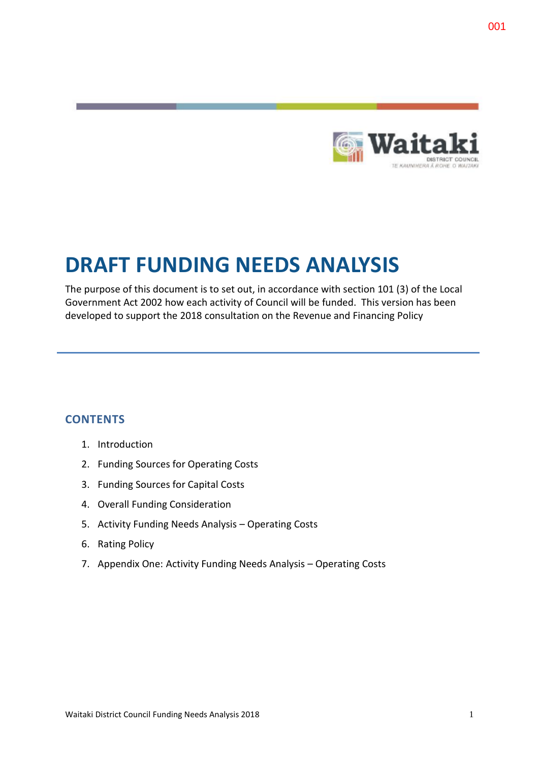

# **DRAFT FUNDING NEEDS ANALYSIS**

The purpose of this document is to set out, in accordance with section 101 (3) of the Local Government Act 2002 how each activity of Council will be funded. This version has been developed to support the 2018 consultation on the Revenue and Financing Policy

# **CONTENTS**

- 1. Introduction
- 2. Funding Sources for Operating Costs
- 3. Funding Sources for Capital Costs
- 4. Overall Funding Consideration
- 5. Activity Funding Needs Analysis Operating Costs
- 6. Rating Policy
- 7. Appendix One: Activity Funding Needs Analysis Operating Costs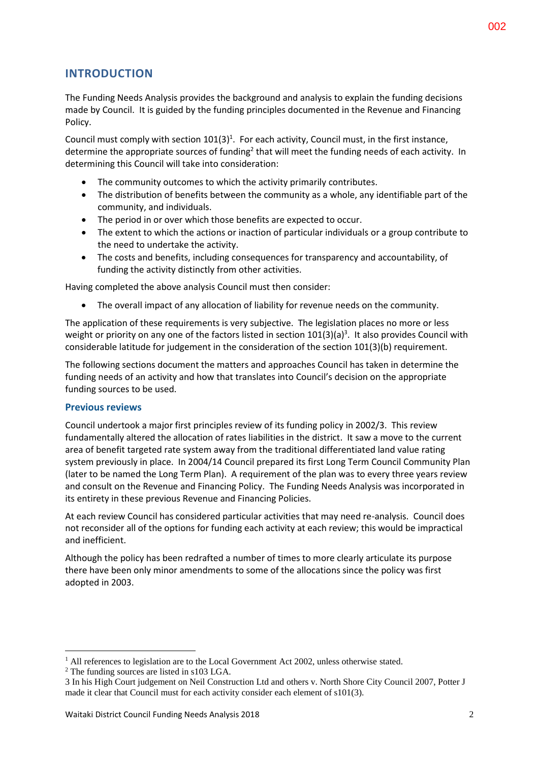# **INTRODUCTION**

The Funding Needs Analysis provides the background and analysis to explain the funding decisions made by Council. It is guided by the funding principles documented in the Revenue and Financing Policy.

Council must comply with section  $101(3)^1$ . For each activity, Council must, in the first instance, determine the appropriate sources of funding<sup>2</sup> that will meet the funding needs of each activity. In determining this Council will take into consideration:

- The community outcomes to which the activity primarily contributes.
- The distribution of benefits between the community as a whole, any identifiable part of the community, and individuals.
- The period in or over which those benefits are expected to occur.
- The extent to which the actions or inaction of particular individuals or a group contribute to the need to undertake the activity.
- The costs and benefits, including consequences for transparency and accountability, of funding the activity distinctly from other activities.

Having completed the above analysis Council must then consider:

The overall impact of any allocation of liability for revenue needs on the community.

The application of these requirements is very subjective. The legislation places no more or less weight or priority on any one of the factors listed in section  $101(3)(a)^3$ . It also provides Council with considerable latitude for judgement in the consideration of the section 101(3)(b) requirement.

The following sections document the matters and approaches Council has taken in determine the funding needs of an activity and how that translates into Council's decision on the appropriate funding sources to be used.

### **Previous reviews**

Council undertook a major first principles review of its funding policy in 2002/3. This review fundamentally altered the allocation of rates liabilities in the district. It saw a move to the current area of benefit targeted rate system away from the traditional differentiated land value rating system previously in place. In 2004/14 Council prepared its first Long Term Council Community Plan (later to be named the Long Term Plan). A requirement of the plan was to every three years review and consult on the Revenue and Financing Policy. The Funding Needs Analysis was incorporated in its entirety in these previous Revenue and Financing Policies.

At each review Council has considered particular activities that may need re-analysis. Council does not reconsider all of the options for funding each activity at each review; this would be impractical and inefficient.

Although the policy has been redrafted a number of times to more clearly articulate its purpose there have been only minor amendments to some of the allocations since the policy was first adopted in 2003.

1

 $<sup>1</sup>$  All references to legislation are to the Local Government Act 2002, unless otherwise stated.</sup>

<sup>&</sup>lt;sup>2</sup> The funding sources are listed in s103 LGA.

<sup>3</sup> In his High Court judgement on Neil Construction Ltd and others v. North Shore City Council 2007, Potter J made it clear that Council must for each activity consider each element of s101(3).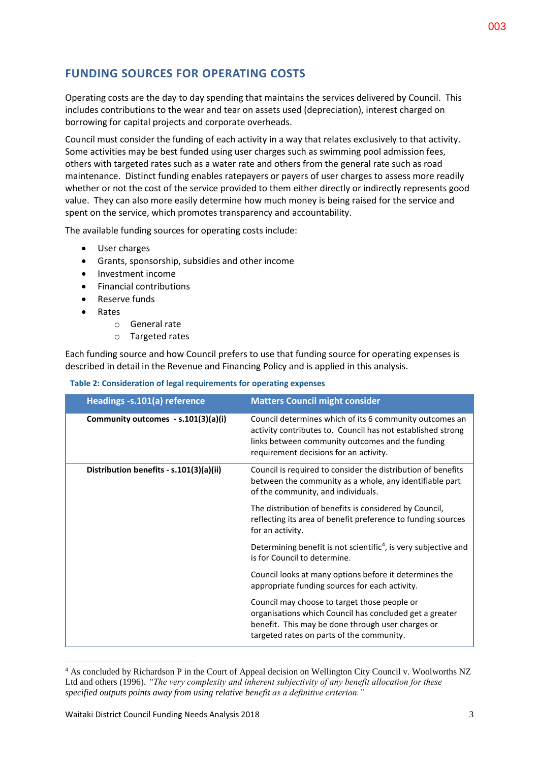# **FUNDING SOURCES FOR OPERATING COSTS**

Operating costs are the day to day spending that maintains the services delivered by Council. This includes contributions to the wear and tear on assets used (depreciation), interest charged on borrowing for capital projects and corporate overheads.

Council must consider the funding of each activity in a way that relates exclusively to that activity. Some activities may be best funded using user charges such as swimming pool admission fees, others with targeted rates such as a water rate and others from the general rate such as road maintenance. Distinct funding enables ratepayers or payers of user charges to assess more readily whether or not the cost of the service provided to them either directly or indirectly represents good value. They can also more easily determine how much money is being raised for the service and spent on the service, which promotes transparency and accountability.

The available funding sources for operating costs include:

- User charges
- Grants, sponsorship, subsidies and other income
- Investment income
- Financial contributions
- Reserve funds
- Rates

<u>.</u>

- o General rate
- o Targeted rates

Each funding source and how Council prefers to use that funding source for operating expenses is described in detail in the Revenue and Financing Policy and is applied in this analysis.

**Table 2: Consideration of legal requirements for operating expenses**

| Headings -s.101(a) reference            | <b>Matters Council might consider</b>                                                                                                                                                                                |
|-----------------------------------------|----------------------------------------------------------------------------------------------------------------------------------------------------------------------------------------------------------------------|
| Community outcomes - s.101(3)(a)(i)     | Council determines which of its 6 community outcomes an<br>activity contributes to. Council has not established strong<br>links between community outcomes and the funding<br>requirement decisions for an activity. |
| Distribution benefits - s.101(3)(a)(ii) | Council is required to consider the distribution of benefits<br>between the community as a whole, any identifiable part<br>of the community, and individuals.                                                        |
|                                         | The distribution of benefits is considered by Council,<br>reflecting its area of benefit preference to funding sources<br>for an activity.                                                                           |
|                                         | Determining benefit is not scientific <sup>4</sup> , is very subjective and<br>is for Council to determine.                                                                                                          |
|                                         | Council looks at many options before it determines the<br>appropriate funding sources for each activity.                                                                                                             |
|                                         | Council may choose to target those people or<br>organisations which Council has concluded get a greater<br>benefit. This may be done through user charges or<br>targeted rates on parts of the community.            |

<sup>4</sup> As concluded by Richardson P in the Court of Appeal decision on Wellington City Council v. Woolworths NZ Ltd and others (1996). *"The very complexity and inherent subjectivity of any benefit allocation for these specified outputs points away from using relative benefit as a definitive criterion."*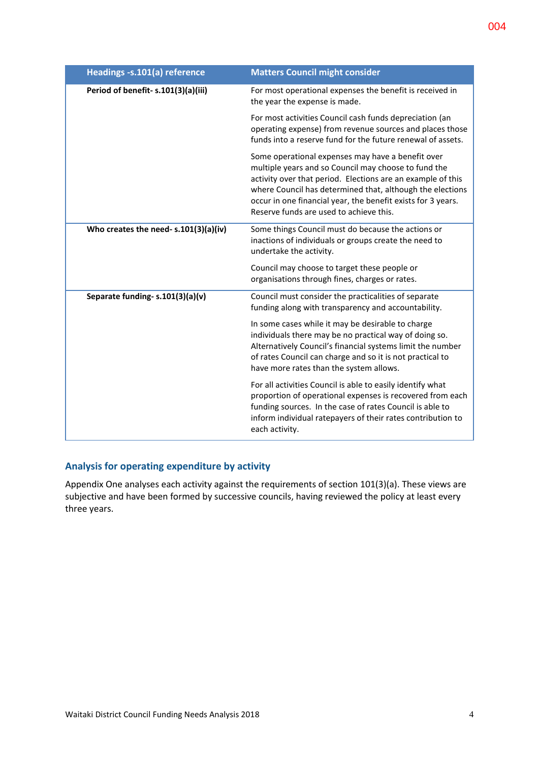| Headings -s.101(a) reference          | <b>Matters Council might consider</b>                                                                                                                                                                                                                                                                                                            |
|---------------------------------------|--------------------------------------------------------------------------------------------------------------------------------------------------------------------------------------------------------------------------------------------------------------------------------------------------------------------------------------------------|
| Period of benefit-s.101(3)(a)(iii)    | For most operational expenses the benefit is received in<br>the year the expense is made.                                                                                                                                                                                                                                                        |
|                                       | For most activities Council cash funds depreciation (an<br>operating expense) from revenue sources and places those<br>funds into a reserve fund for the future renewal of assets.                                                                                                                                                               |
|                                       | Some operational expenses may have a benefit over<br>multiple years and so Council may choose to fund the<br>activity over that period. Elections are an example of this<br>where Council has determined that, although the elections<br>occur in one financial year, the benefit exists for 3 years.<br>Reserve funds are used to achieve this. |
| Who creates the need- s.101(3)(a)(iv) | Some things Council must do because the actions or<br>inactions of individuals or groups create the need to<br>undertake the activity.                                                                                                                                                                                                           |
|                                       | Council may choose to target these people or<br>organisations through fines, charges or rates.                                                                                                                                                                                                                                                   |
| Separate funding- s.101(3)(a)(v)      | Council must consider the practicalities of separate<br>funding along with transparency and accountability.                                                                                                                                                                                                                                      |
|                                       | In some cases while it may be desirable to charge<br>individuals there may be no practical way of doing so.<br>Alternatively Council's financial systems limit the number<br>of rates Council can charge and so it is not practical to<br>have more rates than the system allows.                                                                |
|                                       | For all activities Council is able to easily identify what<br>proportion of operational expenses is recovered from each<br>funding sources. In the case of rates Council is able to<br>inform individual ratepayers of their rates contribution to<br>each activity.                                                                             |

### **Analysis for operating expenditure by activity**

Appendix One analyses each activity against the requirements of section 101(3)(a). These views are subjective and have been formed by successive councils, having reviewed the policy at least every three years.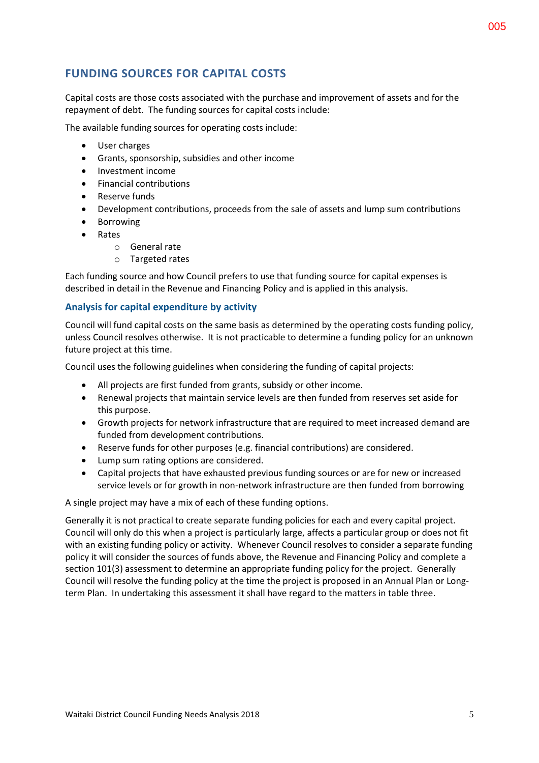# **FUNDING SOURCES FOR CAPITAL COSTS**

Capital costs are those costs associated with the purchase and improvement of assets and for the repayment of debt. The funding sources for capital costs include:

The available funding sources for operating costs include:

- User charges
- Grants, sponsorship, subsidies and other income
- Investment income
- Financial contributions
- Reserve funds
- Development contributions, proceeds from the sale of assets and lump sum contributions
- **•** Borrowing
- Rates
	- o General rate
	- o Targeted rates

Each funding source and how Council prefers to use that funding source for capital expenses is described in detail in the Revenue and Financing Policy and is applied in this analysis.

#### **Analysis for capital expenditure by activity**

Council will fund capital costs on the same basis as determined by the operating costs funding policy, unless Council resolves otherwise. It is not practicable to determine a funding policy for an unknown future project at this time.

Council uses the following guidelines when considering the funding of capital projects:

- All projects are first funded from grants, subsidy or other income.
- Renewal projects that maintain service levels are then funded from reserves set aside for this purpose.
- Growth projects for network infrastructure that are required to meet increased demand are funded from development contributions.
- Reserve funds for other purposes (e.g. financial contributions) are considered.
- Lump sum rating options are considered.
- Capital projects that have exhausted previous funding sources or are for new or increased service levels or for growth in non-network infrastructure are then funded from borrowing

A single project may have a mix of each of these funding options.

Generally it is not practical to create separate funding policies for each and every capital project. Council will only do this when a project is particularly large, affects a particular group or does not fit with an existing funding policy or activity. Whenever Council resolves to consider a separate funding policy it will consider the sources of funds above, the Revenue and Financing Policy and complete a section 101(3) assessment to determine an appropriate funding policy for the project. Generally Council will resolve the funding policy at the time the project is proposed in an Annual Plan or Longterm Plan. In undertaking this assessment it shall have regard to the matters in table three.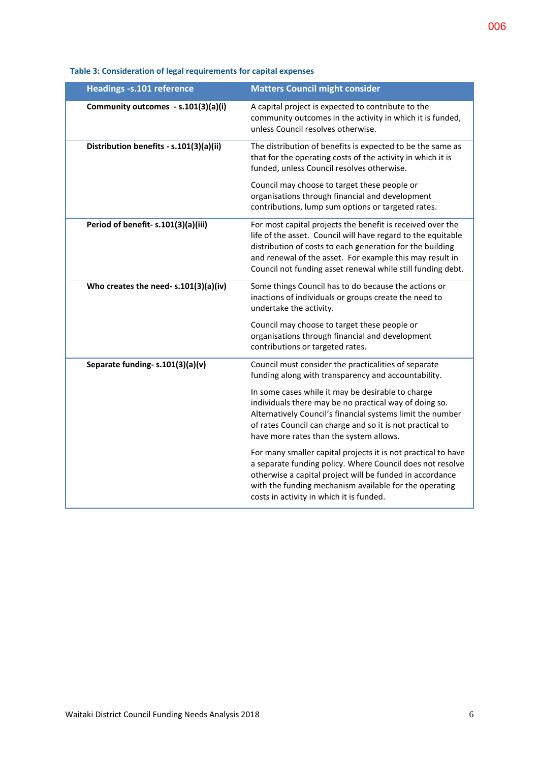| <b>Headings -s.101 reference</b>        | <b>Matters Council might consider</b>                                                                                                                                                                                                                                                                              |
|-----------------------------------------|--------------------------------------------------------------------------------------------------------------------------------------------------------------------------------------------------------------------------------------------------------------------------------------------------------------------|
| Community outcomes - s.101(3)(a)(i)     | A capital project is expected to contribute to the<br>community outcomes in the activity in which it is funded,<br>unless Council resolves otherwise.                                                                                                                                                              |
| Distribution benefits - s.101(3)(a)(ii) | The distribution of benefits is expected to be the same as<br>that for the operating costs of the activity in which it is<br>funded, unless Council resolves otherwise.                                                                                                                                            |
|                                         | Council may choose to target these people or<br>organisations through financial and development<br>contributions, lump sum options or targeted rates.                                                                                                                                                              |
| Period of benefit-s.101(3)(a)(iii)      | For most capital projects the benefit is received over the<br>life of the asset. Council will have regard to the equitable<br>distribution of costs to each generation for the building<br>and renewal of the asset. For example this may result in<br>Council not funding asset renewal while still funding debt. |
| Who creates the need- s.101(3)(a)(iv)   | Some things Council has to do because the actions or<br>inactions of individuals or groups create the need to<br>undertake the activity.                                                                                                                                                                           |
|                                         | Council may choose to target these people or<br>organisations through financial and development<br>contributions or targeted rates.                                                                                                                                                                                |
| Separate funding- s.101(3)(a)(v)        | Council must consider the practicalities of separate<br>funding along with transparency and accountability.                                                                                                                                                                                                        |
|                                         | In some cases while it may be desirable to charge<br>individuals there may be no practical way of doing so.<br>Alternatively Council's financial systems limit the number<br>of rates Council can charge and so it is not practical to<br>have more rates than the system allows.                                  |
|                                         | For many smaller capital projects it is not practical to have<br>a separate funding policy. Where Council does not resolve<br>otherwise a capital project will be funded in accordance<br>with the funding mechanism available for the operating<br>costs in activity in which it is funded.                       |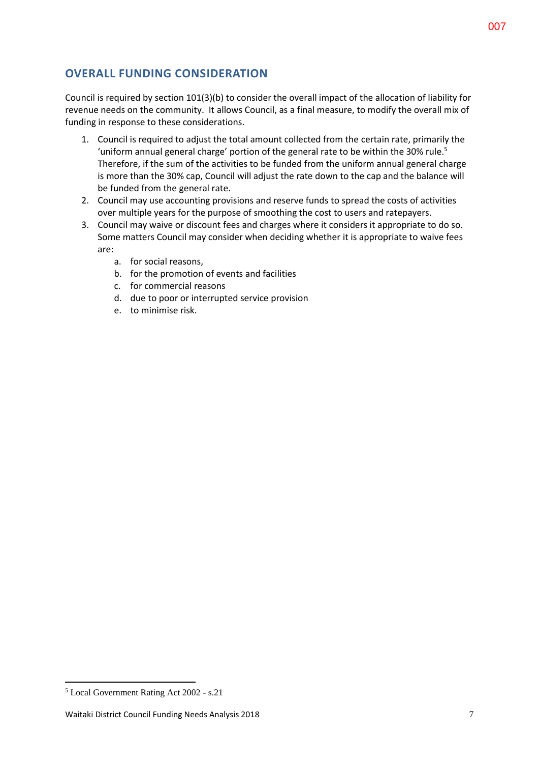# **OVERALL FUNDING CONSIDERATION**

Council is required by section 101(3)(b) to consider the overall impact of the allocation of liability for revenue needs on the community. It allows Council, as a final measure, to modify the overall mix of funding in response to these considerations.

- 1. Council is required to adjust the total amount collected from the certain rate, primarily the 'uniform annual general charge' portion of the general rate to be within the 30% rule.<sup>5</sup> Therefore, if the sum of the activities to be funded from the uniform annual general charge is more than the 30% cap, Council will adjust the rate down to the cap and the balance will be funded from the general rate.
- 2. Council may use accounting provisions and reserve funds to spread the costs of activities over multiple years for the purpose of smoothing the cost to users and ratepayers.
- 3. Council may waive or discount fees and charges where it considers it appropriate to do so. Some matters Council may consider when deciding whether it is appropriate to waive fees are:
	- a. for social reasons,
	- b. for the promotion of events and facilities
	- c. for commercial reasons
	- d. due to poor or interrupted service provision
	- e. to minimise risk.

<sup>1</sup> <sup>5</sup> Local Government Rating Act 2002 - s.21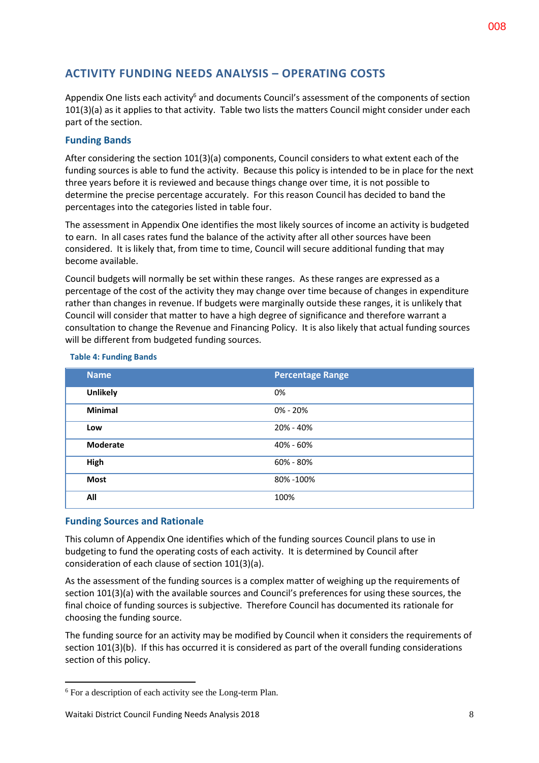# **ACTIVITY FUNDING NEEDS ANALYSIS – OPERATING COSTS**

Appendix One lists each activity<sup>6</sup> and documents Council's assessment of the components of section 101(3)(a) as it applies to that activity. Table two lists the matters Council might consider under each part of the section.

#### **Funding Bands**

After considering the section 101(3)(a) components, Council considers to what extent each of the funding sources is able to fund the activity. Because this policy is intended to be in place for the next three years before it is reviewed and because things change over time, it is not possible to determine the precise percentage accurately. For this reason Council has decided to band the percentages into the categories listed in table four.

The assessment in Appendix One identifies the most likely sources of income an activity is budgeted to earn. In all cases rates fund the balance of the activity after all other sources have been considered. It is likely that, from time to time, Council will secure additional funding that may become available.

Council budgets will normally be set within these ranges. As these ranges are expressed as a percentage of the cost of the activity they may change over time because of changes in expenditure rather than changes in revenue. If budgets were marginally outside these ranges, it is unlikely that Council will consider that matter to have a high degree of significance and therefore warrant a consultation to change the Revenue and Financing Policy. It is also likely that actual funding sources will be different from budgeted funding sources.

| <b>Name</b>     | <b>Percentage Range</b> |
|-----------------|-------------------------|
| <b>Unlikely</b> | 0%                      |
| <b>Minimal</b>  | $0\% - 20\%$            |
| Low             | 20% - 40%               |
| <b>Moderate</b> | 40% - 60%               |
| High            | 60% - 80%               |
| <b>Most</b>     | 80% - 100%              |
| All             | 100%                    |

#### **Table 4: Funding Bands**

#### **Funding Sources and Rationale**

1

This column of Appendix One identifies which of the funding sources Council plans to use in budgeting to fund the operating costs of each activity. It is determined by Council after consideration of each clause of section 101(3)(a).

As the assessment of the funding sources is a complex matter of weighing up the requirements of section 101(3)(a) with the available sources and Council's preferences for using these sources, the final choice of funding sources is subjective. Therefore Council has documented its rationale for choosing the funding source.

The funding source for an activity may be modified by Council when it considers the requirements of section 101(3)(b). If this has occurred it is considered as part of the overall funding considerations section of this policy.

<sup>6</sup> For a description of each activity see the Long-term Plan.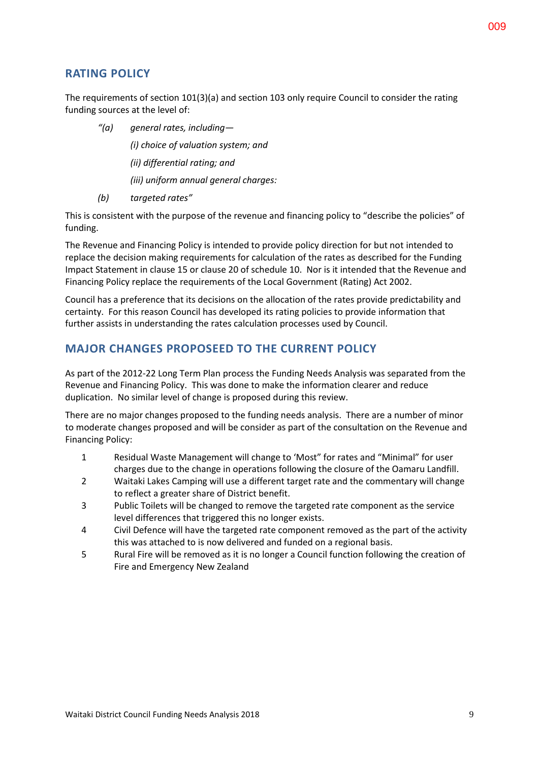### **RATING POLICY**

The requirements of section 101(3)(a) and section 103 only require Council to consider the rating funding sources at the level of:

*"(a) general rates, including—*

*(i) choice of valuation system; and*

*(ii) differential rating; and*

*(iii) uniform annual general charges:*

*(b) targeted rates"*

This is consistent with the purpose of the revenue and financing policy to "describe the policies" of funding.

The Revenue and Financing Policy is intended to provide policy direction for but not intended to replace the decision making requirements for calculation of the rates as described for the Funding Impact Statement in clause 15 or clause 20 of schedule 10. Nor is it intended that the Revenue and Financing Policy replace the requirements of the Local Government (Rating) Act 2002.

Council has a preference that its decisions on the allocation of the rates provide predictability and certainty. For this reason Council has developed its rating policies to provide information that further assists in understanding the rates calculation processes used by Council.

# **MAJOR CHANGES PROPOSEED TO THE CURRENT POLICY**

As part of the 2012-22 Long Term Plan process the Funding Needs Analysis was separated from the Revenue and Financing Policy. This was done to make the information clearer and reduce duplication. No similar level of change is proposed during this review.

There are no major changes proposed to the funding needs analysis. There are a number of minor to moderate changes proposed and will be consider as part of the consultation on the Revenue and Financing Policy:

- 1 Residual Waste Management will change to 'Most" for rates and "Minimal" for user charges due to the change in operations following the closure of the Oamaru Landfill.
- 2 Waitaki Lakes Camping will use a different target rate and the commentary will change to reflect a greater share of District benefit.
- 3 Public Toilets will be changed to remove the targeted rate component as the service level differences that triggered this no longer exists.
- 4 Civil Defence will have the targeted rate component removed as the part of the activity this was attached to is now delivered and funded on a regional basis.
- 5 Rural Fire will be removed as it is no longer a Council function following the creation of Fire and Emergency New Zealand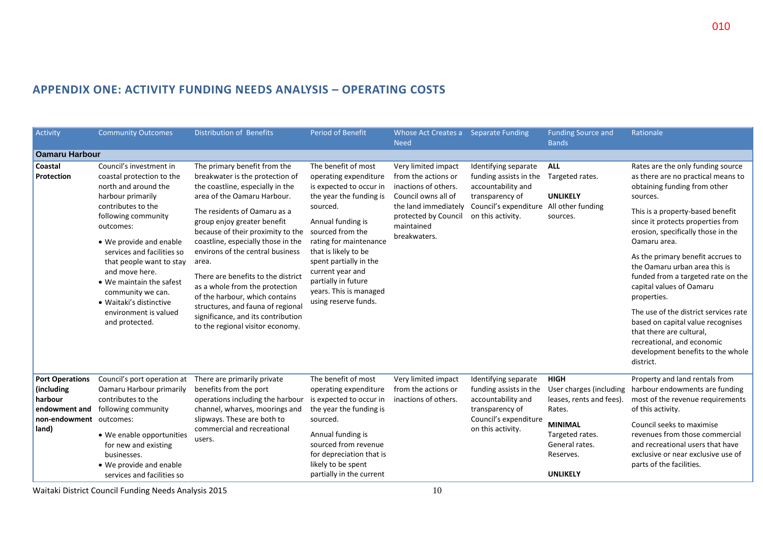| Activity                                                                                                                                                                                                                                                                                                                                            | <b>Community Outcomes</b>                                                                                                                                                                                                                                                                                                                                                                 | <b>Distribution of Benefits</b>                                                                                                                                                                                                                                                                                                                                                                                                                                                                                                                    | <b>Period of Benefit</b>                                                                                                                                                                                                                                                                                                         | Whose Act Creates a Separate Funding<br><b>Need</b>                                                                                                                     |                                                                                                                                       | <b>Funding Source and</b><br><b>Bands</b>                                                                                                                         | Rationale                                                                                                                                                                                                                                                                                                                                                                                                                                                                                                           |  |  |
|-----------------------------------------------------------------------------------------------------------------------------------------------------------------------------------------------------------------------------------------------------------------------------------------------------------------------------------------------------|-------------------------------------------------------------------------------------------------------------------------------------------------------------------------------------------------------------------------------------------------------------------------------------------------------------------------------------------------------------------------------------------|----------------------------------------------------------------------------------------------------------------------------------------------------------------------------------------------------------------------------------------------------------------------------------------------------------------------------------------------------------------------------------------------------------------------------------------------------------------------------------------------------------------------------------------------------|----------------------------------------------------------------------------------------------------------------------------------------------------------------------------------------------------------------------------------------------------------------------------------------------------------------------------------|-------------------------------------------------------------------------------------------------------------------------------------------------------------------------|---------------------------------------------------------------------------------------------------------------------------------------|-------------------------------------------------------------------------------------------------------------------------------------------------------------------|---------------------------------------------------------------------------------------------------------------------------------------------------------------------------------------------------------------------------------------------------------------------------------------------------------------------------------------------------------------------------------------------------------------------------------------------------------------------------------------------------------------------|--|--|
| <b>Oamaru Harbour</b>                                                                                                                                                                                                                                                                                                                               |                                                                                                                                                                                                                                                                                                                                                                                           |                                                                                                                                                                                                                                                                                                                                                                                                                                                                                                                                                    |                                                                                                                                                                                                                                                                                                                                  |                                                                                                                                                                         |                                                                                                                                       |                                                                                                                                                                   |                                                                                                                                                                                                                                                                                                                                                                                                                                                                                                                     |  |  |
| Coastal<br>Protection                                                                                                                                                                                                                                                                                                                               | Council's investment in<br>coastal protection to the<br>north and around the<br>harbour primarily<br>contributes to the<br>following community<br>outcomes:<br>• We provide and enable<br>services and facilities so<br>that people want to stay<br>and move here.<br>• We maintain the safest<br>community we can.<br>· Waitaki's distinctive<br>environment is valued<br>and protected. | The primary benefit from the<br>breakwater is the protection of<br>the coastline, especially in the<br>area of the Oamaru Harbour.<br>The residents of Oamaru as a<br>group enjoy greater benefit<br>because of their proximity to the<br>coastline, especially those in the<br>environs of the central business<br>area.<br>There are benefits to the district<br>as a whole from the protection<br>of the harbour, which contains<br>structures, and fauna of regional<br>significance, and its contribution<br>to the regional visitor economy. | The benefit of most<br>operating expenditure<br>is expected to occur in<br>the year the funding is<br>sourced.<br>Annual funding is<br>sourced from the<br>rating for maintenance<br>that is likely to be<br>spent partially in the<br>current year and<br>partially in future<br>years. This is managed<br>using reserve funds. | Very limited impact<br>from the actions or<br>inactions of others.<br>Council owns all of<br>the land immediately<br>protected by Council<br>maintained<br>breakwaters. | Identifying separate<br>funding assists in the<br>accountability and<br>transparency of<br>Council's expenditure<br>on this activity. | <b>ALL</b><br>Targeted rates.<br><b>UNLIKELY</b><br>All other funding<br>sources.                                                                                 | Rates are the only funding source<br>as there are no practical means to<br>obtaining funding from other<br>sources.<br>This is a property-based benefit<br>since it protects properties from<br>erosion, specifically those in the<br>Oamaru area.<br>As the primary benefit accrues to<br>the Oamaru urban area this is<br>funded from a targeted rate on the<br>capital values of Oamaru<br>properties.<br>The use of the district services rate<br>based on capital value recognises<br>that there are cultural, |  |  |
| <b>Port Operations</b>                                                                                                                                                                                                                                                                                                                              | Council's port operation at                                                                                                                                                                                                                                                                                                                                                               | There are primarily private                                                                                                                                                                                                                                                                                                                                                                                                                                                                                                                        | The benefit of most                                                                                                                                                                                                                                                                                                              | Very limited impact                                                                                                                                                     | Identifying separate                                                                                                                  | <b>HIGH</b>                                                                                                                                                       | recreational, and economic<br>development benefits to the whole<br>district.<br>Property and land rentals from                                                                                                                                                                                                                                                                                                                                                                                                      |  |  |
| benefits from the port<br>(including<br>Oamaru Harbour primarily<br>harbour<br>contributes to the<br>following community<br>endowment and<br>slipways. These are both to<br>non-endowment outcomes:<br>land)<br>• We enable opportunities<br>users.<br>for new and existing<br>businesses.<br>• We provide and enable<br>services and facilities so |                                                                                                                                                                                                                                                                                                                                                                                           | operations including the harbour<br>channel, wharves, moorings and                                                                                                                                                                                                                                                                                                                                                                                                                                                                                 | operating expenditure<br>is expected to occur in<br>the year the funding is                                                                                                                                                                                                                                                      | from the actions or<br>inactions of others.                                                                                                                             | funding assists in the<br>accountability and<br>transparency of                                                                       | User charges (including<br>leases, rents and fees).<br>Rates.                                                                                                     | harbour endowments are funding<br>most of the revenue requirements<br>of this activity.                                                                                                                                                                                                                                                                                                                                                                                                                             |  |  |
|                                                                                                                                                                                                                                                                                                                                                     | commercial and recreational                                                                                                                                                                                                                                                                                                                                                               | sourced.<br>Annual funding is<br>sourced from revenue<br>for depreciation that is<br>likely to be spent<br>partially in the current                                                                                                                                                                                                                                                                                                                                                                                                                |                                                                                                                                                                                                                                                                                                                                  | Council's expenditure<br>on this activity.                                                                                                                              | <b>MINIMAL</b><br>Targeted rates.<br>General rates.<br>Reserves.<br><b>UNLIKELY</b>                                                   | Council seeks to maximise<br>revenues from those commercial<br>and recreational users that have<br>exclusive or near exclusive use of<br>parts of the facilities. |                                                                                                                                                                                                                                                                                                                                                                                                                                                                                                                     |  |  |

# **APPENDIX ONE: ACTIVITY FUNDING NEEDS ANALYSIS – OPERATING COSTS**

Waitaki District Council Funding Needs Analysis 2015 10

010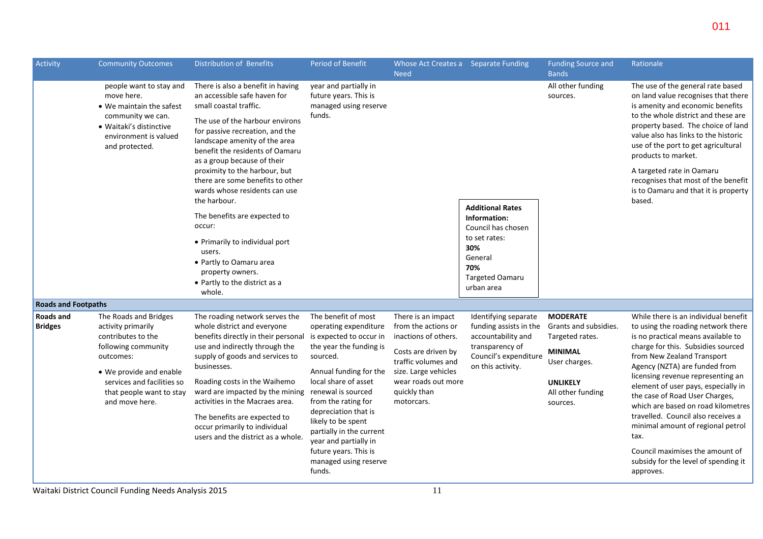| Activity                    | <b>Community Outcomes</b>                                                                                                                                                                                    | Distribution of Benefits                                                                                                                                                                                                                                                                                                                                                                                                                                                                                                                                                   | <b>Period of Benefit</b>                                                                                                                                                                                                                                                                                                                                                     | Whose Act Creates a Separate Funding<br><b>Need</b>                                                                                                                                          |                                                                                                                                                 | <b>Funding Source and</b><br><b>Bands</b>                                                                                                          | Rationale                                                                                                                                                                                                                                                                                                                                                                                                                                                                                                                                            |
|-----------------------------|--------------------------------------------------------------------------------------------------------------------------------------------------------------------------------------------------------------|----------------------------------------------------------------------------------------------------------------------------------------------------------------------------------------------------------------------------------------------------------------------------------------------------------------------------------------------------------------------------------------------------------------------------------------------------------------------------------------------------------------------------------------------------------------------------|------------------------------------------------------------------------------------------------------------------------------------------------------------------------------------------------------------------------------------------------------------------------------------------------------------------------------------------------------------------------------|----------------------------------------------------------------------------------------------------------------------------------------------------------------------------------------------|-------------------------------------------------------------------------------------------------------------------------------------------------|----------------------------------------------------------------------------------------------------------------------------------------------------|------------------------------------------------------------------------------------------------------------------------------------------------------------------------------------------------------------------------------------------------------------------------------------------------------------------------------------------------------------------------------------------------------------------------------------------------------------------------------------------------------------------------------------------------------|
|                             | people want to stay and<br>move here.<br>• We maintain the safest<br>community we can.<br>• Waitaki's distinctive<br>environment is valued<br>and protected.                                                 | There is also a benefit in having<br>an accessible safe haven for<br>small coastal traffic.<br>The use of the harbour environs<br>for passive recreation, and the<br>landscape amenity of the area<br>benefit the residents of Oamaru<br>as a group because of their<br>proximity to the harbour, but<br>there are some benefits to other<br>wards whose residents can use<br>the harbour.<br>The benefits are expected to<br>occur:<br>• Primarily to individual port<br>users.<br>• Partly to Oamaru area<br>property owners.<br>• Partly to the district as a<br>whole. | year and partially in<br>future years. This is<br>managed using reserve<br>funds.                                                                                                                                                                                                                                                                                            |                                                                                                                                                                                              | <b>Additional Rates</b><br>Information:<br>Council has chosen<br>to set rates:<br>30%<br>General<br>70%<br><b>Targeted Oamaru</b><br>urban area | All other funding<br>sources.                                                                                                                      | The use of the general rate based<br>on land value recognises that there<br>is amenity and economic benefits<br>to the whole district and these are<br>property based. The choice of land<br>value also has links to the historic<br>use of the port to get agricultural<br>products to market.<br>A targeted rate in Oamaru<br>recognises that most of the benefit<br>is to Oamaru and that it is property<br>based.                                                                                                                                |
| <b>Roads and Footpaths</b>  |                                                                                                                                                                                                              |                                                                                                                                                                                                                                                                                                                                                                                                                                                                                                                                                                            |                                                                                                                                                                                                                                                                                                                                                                              |                                                                                                                                                                                              |                                                                                                                                                 |                                                                                                                                                    |                                                                                                                                                                                                                                                                                                                                                                                                                                                                                                                                                      |
| Roads and<br><b>Bridges</b> | The Roads and Bridges<br>activity primarily<br>contributes to the<br>following community<br>outcomes:<br>• We provide and enable<br>services and facilities so<br>that people want to stay<br>and move here. | The roading network serves the<br>whole district and everyone<br>benefits directly in their personal<br>use and indirectly through the<br>supply of goods and services to<br>businesses.<br>Roading costs in the Waihemo<br>ward are impacted by the mining<br>activities in the Macraes area.<br>The benefits are expected to<br>occur primarily to individual<br>users and the district as a whole.                                                                                                                                                                      | The benefit of most<br>operating expenditure<br>is expected to occur in<br>the year the funding is<br>sourced.<br>Annual funding for the<br>local share of asset<br>renewal is sourced<br>from the rating for<br>depreciation that is<br>likely to be spent<br>partially in the current<br>year and partially in<br>future years. This is<br>managed using reserve<br>funds. | There is an impact<br>from the actions or<br>inactions of others.<br>Costs are driven by<br>traffic volumes and<br>size. Large vehicles<br>wear roads out more<br>quickly than<br>motorcars. | Identifying separate<br>funding assists in the<br>accountability and<br>transparency of<br>Council's expenditure<br>on this activity.           | <b>MODERATE</b><br>Grants and subsidies.<br>Targeted rates.<br><b>MINIMAL</b><br>User charges.<br><b>UNLIKELY</b><br>All other funding<br>sources. | While there is an individual benefit<br>to using the roading network there<br>is no practical means available to<br>charge for this. Subsidies sourced<br>from New Zealand Transport<br>Agency (NZTA) are funded from<br>licensing revenue representing an<br>element of user pays, especially in<br>the case of Road User Charges,<br>which are based on road kilometres<br>travelled. Council also receives a<br>minimal amount of regional petrol<br>tax.<br>Council maximises the amount of<br>subsidy for the level of spending it<br>approves. |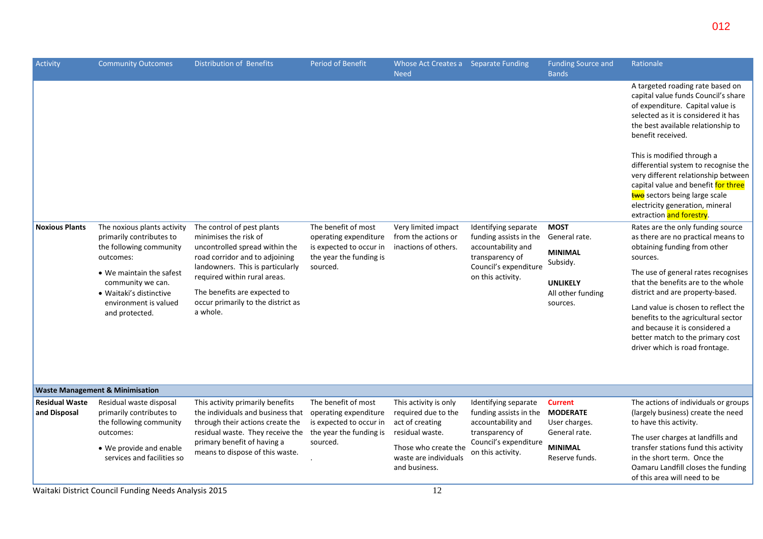| Activity                              | <b>Community Outcomes</b>                                                                                                                                                                                                                                                                                                                                               | <b>Distribution of Benefits</b>                                                                                                                    | <b>Period of Benefit</b>                                                                                   | Whose Act Creates a Separate Funding<br><b>Need</b>                                                                                   |                                                                                         | <b>Funding Source and</b><br><b>Bands</b>                                                                                                                                                                        | Rationale                                                                                                                                                                                                                                                                                                                                                                                                                                                                                                                                                                                |
|---------------------------------------|-------------------------------------------------------------------------------------------------------------------------------------------------------------------------------------------------------------------------------------------------------------------------------------------------------------------------------------------------------------------------|----------------------------------------------------------------------------------------------------------------------------------------------------|------------------------------------------------------------------------------------------------------------|---------------------------------------------------------------------------------------------------------------------------------------|-----------------------------------------------------------------------------------------|------------------------------------------------------------------------------------------------------------------------------------------------------------------------------------------------------------------|------------------------------------------------------------------------------------------------------------------------------------------------------------------------------------------------------------------------------------------------------------------------------------------------------------------------------------------------------------------------------------------------------------------------------------------------------------------------------------------------------------------------------------------------------------------------------------------|
| <b>Noxious Plants</b>                 | The noxious plants activity<br>primarily contributes to<br>the following community<br>outcomes:                                                                                                                                                                                                                                                                         | The control of pest plants<br>minimises the risk of<br>uncontrolled spread within the<br>road corridor and to adjoining                            | The benefit of most<br>operating expenditure<br>is expected to occur in<br>the year the funding is         | Very limited impact<br>from the actions or<br>inactions of others.                                                                    | Identifying separate<br>funding assists in the<br>accountability and<br>transparency of | <b>MOST</b><br>General rate.<br><b>MINIMAL</b><br>Subsidy.                                                                                                                                                       | A targeted roading rate based on<br>capital value funds Council's share<br>of expenditure. Capital value is<br>selected as it is considered it has<br>the best available relationship to<br>benefit received.<br>This is modified through a<br>differential system to recognise the<br>very different relationship between<br>capital value and benefit for three<br>two sectors being large scale<br>electricity generation, mineral<br>extraction and forestry.<br>Rates are the only funding source<br>as there are no practical means to<br>obtaining funding from other<br>sources. |
|                                       | • We maintain the safest<br>community we can.<br>• Waitaki's distinctive<br>environment is valued<br>and protected.                                                                                                                                                                                                                                                     | landowners. This is particularly<br>required within rural areas.<br>The benefits are expected to<br>occur primarily to the district as<br>a whole. | sourced.                                                                                                   |                                                                                                                                       | Council's expenditure<br>on this activity.                                              | <b>UNLIKELY</b><br>All other funding<br>sources.                                                                                                                                                                 | The use of general rates recognises<br>that the benefits are to the whole<br>district and are property-based.<br>Land value is chosen to reflect the<br>benefits to the agricultural sector<br>and because it is considered a<br>better match to the primary cost<br>driver which is road frontage.                                                                                                                                                                                                                                                                                      |
|                                       | <b>Waste Management &amp; Minimisation</b>                                                                                                                                                                                                                                                                                                                              |                                                                                                                                                    |                                                                                                            |                                                                                                                                       |                                                                                         |                                                                                                                                                                                                                  |                                                                                                                                                                                                                                                                                                                                                                                                                                                                                                                                                                                          |
| <b>Residual Waste</b><br>and Disposal | Residual waste disposal<br>This activity primarily benefits<br>primarily contributes to<br>the individuals and business that<br>the following community<br>through their actions create the<br>residual waste. They receive the<br>outcomes:<br>primary benefit of having a<br>• We provide and enable<br>means to dispose of this waste.<br>services and facilities so | The benefit of most<br>operating expenditure<br>is expected to occur in<br>the year the funding is<br>sourced.                                     | This activity is only<br>required due to the<br>act of creating<br>residual waste.<br>Those who create the | Identifying separate<br>funding assists in the<br>accountability and<br>transparency of<br>Council's expenditure<br>on this activity. | <b>Current</b><br><b>MODERATE</b><br>User charges.<br>General rate.<br><b>MINIMAL</b>   | The actions of individuals or groups<br>(largely business) create the need<br>to have this activity.<br>The user charges at landfills and<br>transfer stations fund this activity<br>in the short term. Once the |                                                                                                                                                                                                                                                                                                                                                                                                                                                                                                                                                                                          |
|                                       |                                                                                                                                                                                                                                                                                                                                                                         |                                                                                                                                                    |                                                                                                            | waste are individuals<br>and business.                                                                                                |                                                                                         | Reserve funds.                                                                                                                                                                                                   | Oamaru Landfill closes the funding<br>of this area will need to be                                                                                                                                                                                                                                                                                                                                                                                                                                                                                                                       |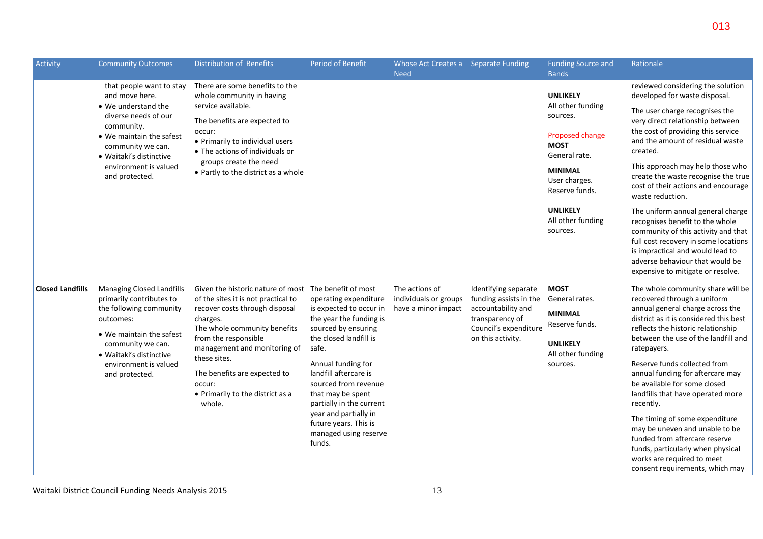| Activity                | <b>Community Outcomes</b>                                                                                                                                   | Distribution of Benefits                                                                                                                                                                                                                   | Period of Benefit                                                                                                                                                                                                                                                                                                         | Whose Act Creates a Separate Funding<br><b>Need</b> |                                                                                     | <b>Funding Source and</b><br><b>Bands</b>         | Rationale                                                                                                                                                                                                                                                       |
|-------------------------|-------------------------------------------------------------------------------------------------------------------------------------------------------------|--------------------------------------------------------------------------------------------------------------------------------------------------------------------------------------------------------------------------------------------|---------------------------------------------------------------------------------------------------------------------------------------------------------------------------------------------------------------------------------------------------------------------------------------------------------------------------|-----------------------------------------------------|-------------------------------------------------------------------------------------|---------------------------------------------------|-----------------------------------------------------------------------------------------------------------------------------------------------------------------------------------------------------------------------------------------------------------------|
|                         | that people want to stay<br>and move here.                                                                                                                  | There are some benefits to the<br>whole community in having                                                                                                                                                                                |                                                                                                                                                                                                                                                                                                                           |                                                     |                                                                                     | <b>UNLIKELY</b>                                   | reviewed considering the solution<br>developed for waste disposal.                                                                                                                                                                                              |
|                         | • We understand the<br>diverse needs of our<br>community.                                                                                                   | service available.<br>The benefits are expected to                                                                                                                                                                                         |                                                                                                                                                                                                                                                                                                                           |                                                     |                                                                                     | All other funding<br>sources.                     | The user charge recognises the<br>very direct relationship between                                                                                                                                                                                              |
|                         | • We maintain the safest<br>community we can.<br>• Waitaki's distinctive                                                                                    | occur:<br>• Primarily to individual users<br>• The actions of individuals or                                                                                                                                                               |                                                                                                                                                                                                                                                                                                                           |                                                     |                                                                                     | Proposed change<br><b>MOST</b><br>General rate.   | the cost of providing this service<br>and the amount of residual waste<br>created.                                                                                                                                                                              |
|                         | environment is valued<br>and protected.                                                                                                                     | groups create the need<br>• Partly to the district as a whole                                                                                                                                                                              |                                                                                                                                                                                                                                                                                                                           |                                                     |                                                                                     | <b>MINIMAL</b><br>User charges.<br>Reserve funds. | This approach may help those who<br>create the waste recognise the true<br>cost of their actions and encourage<br>waste reduction.                                                                                                                              |
|                         |                                                                                                                                                             |                                                                                                                                                                                                                                            |                                                                                                                                                                                                                                                                                                                           |                                                     |                                                                                     | <b>UNLIKELY</b><br>All other funding<br>sources.  | The uniform annual general charge<br>recognises benefit to the whole<br>community of this activity and that<br>full cost recovery in some locations<br>is impractical and would lead to<br>adverse behaviour that would be<br>expensive to mitigate or resolve. |
| <b>Closed Landfills</b> | <b>Managing Closed Landfills</b><br>primarily contributes to                                                                                                | Given the historic nature of most The benefit of most<br>of the sites it is not practical to                                                                                                                                               | operating expenditure                                                                                                                                                                                                                                                                                                     | The actions of<br>individuals or groups             | Identifying separate<br>funding assists in the                                      | <b>MOST</b><br>General rates.                     | The whole community share will be<br>recovered through a uniform                                                                                                                                                                                                |
|                         | the following community<br>outcomes:<br>• We maintain the safest<br>community we can.<br>• Waitaki's distinctive<br>environment is valued<br>and protected. | recover costs through disposal<br>charges.<br>The whole community benefits<br>from the responsible<br>management and monitoring of<br>these sites.<br>The benefits are expected to<br>occur:<br>• Primarily to the district as a<br>whole. | is expected to occur in<br>the year the funding is<br>sourced by ensuring<br>the closed landfill is<br>safe.<br>Annual funding for<br>landfill aftercare is<br>sourced from revenue<br>that may be spent<br>partially in the current<br>year and partially in<br>future years. This is<br>managed using reserve<br>funds. | have a minor impact                                 | accountability and<br>transparency of<br>Council's expenditure<br>on this activity. | <b>MINIMAL</b><br>Reserve funds.                  | annual general charge across the<br>district as it is considered this best<br>reflects the historic relationship<br>between the use of the landfill and<br>ratepayers.                                                                                          |
|                         |                                                                                                                                                             |                                                                                                                                                                                                                                            |                                                                                                                                                                                                                                                                                                                           |                                                     |                                                                                     | <b>UNLIKELY</b><br>All other funding              |                                                                                                                                                                                                                                                                 |
|                         |                                                                                                                                                             |                                                                                                                                                                                                                                            |                                                                                                                                                                                                                                                                                                                           |                                                     |                                                                                     | sources.                                          | Reserve funds collected from<br>annual funding for aftercare may<br>be available for some closed<br>landfills that have operated more<br>recently.                                                                                                              |
|                         |                                                                                                                                                             |                                                                                                                                                                                                                                            |                                                                                                                                                                                                                                                                                                                           |                                                     |                                                                                     |                                                   | The timing of some expenditure<br>may be uneven and unable to be<br>funded from aftercare reserve<br>funds, particularly when physical<br>works are required to meet<br>consent requirements, which may                                                         |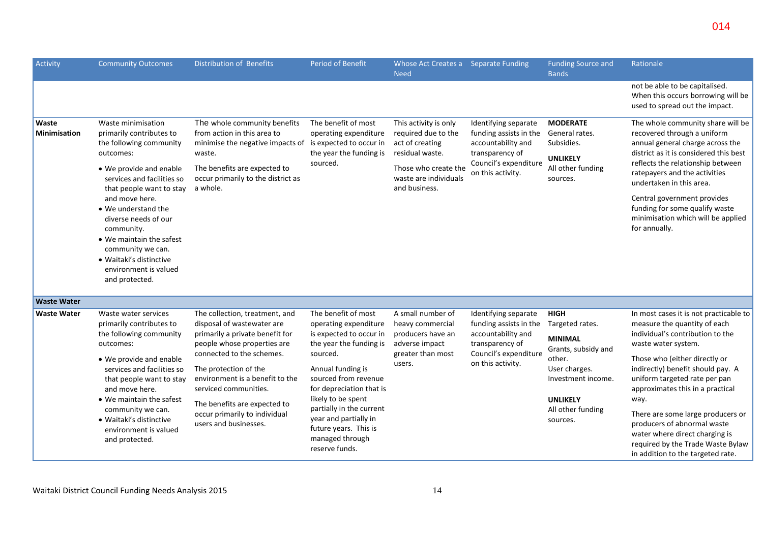| Activity                     | <b>Community Outcomes</b>                                                                                                                                                                                                                                                                                                                                                         | Distribution of Benefits                                                                                                                                                                                                                                                                                                                   | <b>Period of Benefit</b>                                                                                                                                                                                                                                                                                                         | Whose Act Creates a Separate Funding<br><b>Need</b>                                                                                                  |                                                                                                                                       | <b>Funding Source and</b><br><b>Bands</b>                                                                                                                                    | Rationale                                                                                                                                                                                                                                                                                                                                                                                                                                                            |
|------------------------------|-----------------------------------------------------------------------------------------------------------------------------------------------------------------------------------------------------------------------------------------------------------------------------------------------------------------------------------------------------------------------------------|--------------------------------------------------------------------------------------------------------------------------------------------------------------------------------------------------------------------------------------------------------------------------------------------------------------------------------------------|----------------------------------------------------------------------------------------------------------------------------------------------------------------------------------------------------------------------------------------------------------------------------------------------------------------------------------|------------------------------------------------------------------------------------------------------------------------------------------------------|---------------------------------------------------------------------------------------------------------------------------------------|------------------------------------------------------------------------------------------------------------------------------------------------------------------------------|----------------------------------------------------------------------------------------------------------------------------------------------------------------------------------------------------------------------------------------------------------------------------------------------------------------------------------------------------------------------------------------------------------------------------------------------------------------------|
|                              |                                                                                                                                                                                                                                                                                                                                                                                   |                                                                                                                                                                                                                                                                                                                                            |                                                                                                                                                                                                                                                                                                                                  |                                                                                                                                                      |                                                                                                                                       |                                                                                                                                                                              | not be able to be capitalised.<br>When this occurs borrowing will be<br>used to spread out the impact.                                                                                                                                                                                                                                                                                                                                                               |
| Waste<br><b>Minimisation</b> | Waste minimisation<br>primarily contributes to<br>the following community<br>outcomes:<br>• We provide and enable<br>services and facilities so<br>that people want to stay<br>and move here.<br>• We understand the<br>diverse needs of our<br>community.<br>• We maintain the safest<br>community we can.<br>• Waitaki's distinctive<br>environment is valued<br>and protected. | The whole community benefits<br>from action in this area to<br>minimise the negative impacts of is expected to occur in<br>waste.<br>The benefits are expected to<br>occur primarily to the district as<br>a whole.                                                                                                                        | The benefit of most<br>operating expenditure<br>the year the funding is<br>sourced.                                                                                                                                                                                                                                              | This activity is only<br>required due to the<br>act of creating<br>residual waste.<br>Those who create the<br>waste are individuals<br>and business. | Identifying separate<br>funding assists in the<br>accountability and<br>transparency of<br>Council's expenditure<br>on this activity. | <b>MODERATE</b><br>General rates.<br>Subsidies.<br><b>UNLIKELY</b><br>All other funding<br>sources.                                                                          | The whole community share will be<br>recovered through a uniform<br>annual general charge across the<br>district as it is considered this best<br>reflects the relationship between<br>ratepayers and the activities<br>undertaken in this area.<br>Central government provides<br>funding for some qualify waste<br>minimisation which will be applied<br>for annually.                                                                                             |
| <b>Waste Water</b>           |                                                                                                                                                                                                                                                                                                                                                                                   |                                                                                                                                                                                                                                                                                                                                            |                                                                                                                                                                                                                                                                                                                                  |                                                                                                                                                      |                                                                                                                                       |                                                                                                                                                                              |                                                                                                                                                                                                                                                                                                                                                                                                                                                                      |
| <b>Waste Water</b>           | Waste water services<br>primarily contributes to<br>the following community<br>outcomes:<br>• We provide and enable<br>services and facilities so<br>that people want to stay<br>and move here.<br>• We maintain the safest<br>community we can.<br>• Waitaki's distinctive<br>environment is valued<br>and protected.                                                            | The collection, treatment, and<br>disposal of wastewater are<br>primarily a private benefit for<br>people whose properties are<br>connected to the schemes.<br>The protection of the<br>environment is a benefit to the<br>serviced communities.<br>The benefits are expected to<br>occur primarily to individual<br>users and businesses. | The benefit of most<br>operating expenditure<br>is expected to occur in<br>the year the funding is<br>sourced.<br>Annual funding is<br>sourced from revenue<br>for depreciation that is<br>likely to be spent<br>partially in the current<br>year and partially in<br>future years. This is<br>managed through<br>reserve funds. | A small number of<br>heavy commercial<br>producers have an<br>adverse impact<br>greater than most<br>users.                                          | Identifying separate<br>funding assists in the<br>accountability and<br>transparency of<br>Council's expenditure<br>on this activity. | <b>HIGH</b><br>Targeted rates.<br><b>MINIMAL</b><br>Grants, subsidy and<br>other.<br>User charges.<br>Investment income.<br><b>UNLIKELY</b><br>All other funding<br>sources. | In most cases it is not practicable to<br>measure the quantity of each<br>individual's contribution to the<br>waste water system.<br>Those who (either directly or<br>indirectly) benefit should pay. A<br>uniform targeted rate per pan<br>approximates this in a practical<br>way.<br>There are some large producers or<br>producers of abnormal waste<br>water where direct charging is<br>required by the Trade Waste Bylaw<br>in addition to the targeted rate. |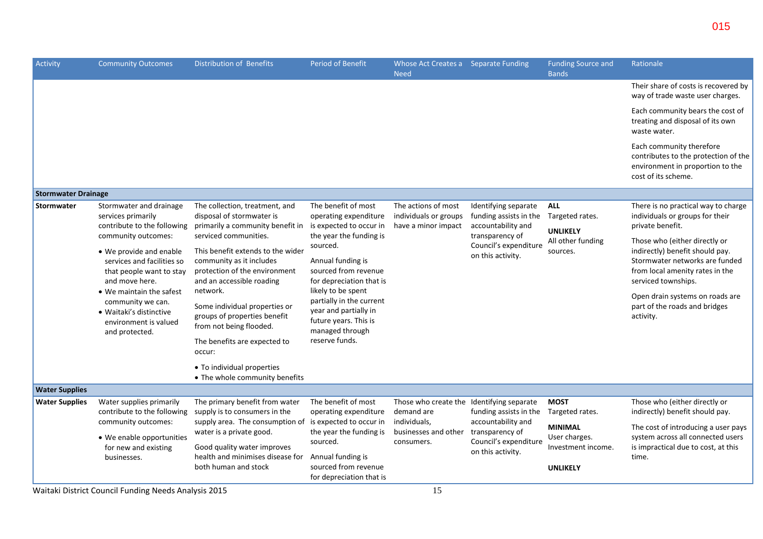| Activity                   | <b>Community Outcomes</b>                                                                                                                                                                                                  | Distribution of Benefits                                                                                                             | Period of Benefit                                                                                                                                                                                                          | Whose Act Creates a Separate Funding<br><b>Need</b>                     |                                                                                     | <b>Funding Source and</b><br><b>Bands</b>             | Rationale                                                                                                                                                    |
|----------------------------|----------------------------------------------------------------------------------------------------------------------------------------------------------------------------------------------------------------------------|--------------------------------------------------------------------------------------------------------------------------------------|----------------------------------------------------------------------------------------------------------------------------------------------------------------------------------------------------------------------------|-------------------------------------------------------------------------|-------------------------------------------------------------------------------------|-------------------------------------------------------|--------------------------------------------------------------------------------------------------------------------------------------------------------------|
|                            |                                                                                                                                                                                                                            |                                                                                                                                      |                                                                                                                                                                                                                            |                                                                         |                                                                                     |                                                       | Their share of costs is recovered by<br>way of trade waste user charges.                                                                                     |
|                            |                                                                                                                                                                                                                            |                                                                                                                                      |                                                                                                                                                                                                                            |                                                                         |                                                                                     |                                                       | Each community bears the cost of<br>treating and disposal of its own<br>waste water.                                                                         |
|                            |                                                                                                                                                                                                                            |                                                                                                                                      |                                                                                                                                                                                                                            |                                                                         |                                                                                     |                                                       | Each community therefore<br>contributes to the protection of the<br>environment in proportion to the<br>cost of its scheme.                                  |
| <b>Stormwater Drainage</b> |                                                                                                                                                                                                                            |                                                                                                                                      |                                                                                                                                                                                                                            |                                                                         |                                                                                     |                                                       |                                                                                                                                                              |
| <b>Stormwater</b>          | Stormwater and drainage<br>services primarily                                                                                                                                                                              | The collection, treatment, and<br>disposal of stormwater is                                                                          | The benefit of most<br>operating expenditure                                                                                                                                                                               | The actions of most<br>individuals or groups                            | Identifying separate<br>funding assists in the                                      | <b>ALL</b><br>Targeted rates.                         | There is no practical way to charge<br>individuals or groups for their                                                                                       |
|                            | contribute to the following<br>community outcomes:                                                                                                                                                                         | primarily a community benefit in<br>serviced communities.                                                                            | is expected to occur in<br>the year the funding is                                                                                                                                                                         | have a minor impact                                                     | accountability and<br>transparency of<br>Council's expenditure<br>on this activity. | <b>UNLIKELY</b>                                       | private benefit.                                                                                                                                             |
|                            | • We provide and enable<br>services and facilities so<br>that people want to stay<br>and move here.<br>• We maintain the safest<br>community we can.<br>• Waitaki's distinctive<br>environment is valued<br>and protected. | This benefit extends to the wider<br>community as it includes<br>protection of the environment<br>and an accessible roading          | sourced.<br>Annual funding is<br>sourced from revenue<br>for depreciation that is<br>likely to be spent<br>partially in the current<br>year and partially in<br>future years. This is<br>managed through<br>reserve funds. |                                                                         |                                                                                     | All other funding<br>sources.                         | Those who (either directly or<br>indirectly) benefit should pay.<br>Stormwater networks are funded<br>from local amenity rates in the<br>serviced townships. |
|                            |                                                                                                                                                                                                                            | network.<br>Some individual properties or<br>groups of properties benefit<br>from not being flooded.<br>The benefits are expected to |                                                                                                                                                                                                                            |                                                                         |                                                                                     |                                                       | Open drain systems on roads are<br>part of the roads and bridges<br>activity.                                                                                |
|                            |                                                                                                                                                                                                                            | occur:                                                                                                                               |                                                                                                                                                                                                                            |                                                                         |                                                                                     |                                                       |                                                                                                                                                              |
|                            |                                                                                                                                                                                                                            | • To individual properties<br>• The whole community benefits                                                                         |                                                                                                                                                                                                                            |                                                                         |                                                                                     |                                                       |                                                                                                                                                              |
| <b>Water Supplies</b>      |                                                                                                                                                                                                                            |                                                                                                                                      |                                                                                                                                                                                                                            |                                                                         |                                                                                     |                                                       |                                                                                                                                                              |
| <b>Water Supplies</b>      | Water supplies primarily<br>contribute to the following<br>community outcomes:                                                                                                                                             | The primary benefit from water<br>supply is to consumers in the<br>supply area. The consumption of is expected to occur in           | The benefit of most<br>operating expenditure                                                                                                                                                                               | Those who create the Identifying separate<br>demand are<br>individuals, | funding assists in the<br>accountability and                                        | <b>MOST</b><br>Targeted rates.                        | Those who (either directly or<br>indirectly) benefit should pay.                                                                                             |
|                            | • We enable opportunities<br>for new and existing<br>businesses.                                                                                                                                                           | water is a private good.<br>Good quality water improves<br>health and minimises disease for                                          | the year the funding is<br>sourced.<br>Annual funding is                                                                                                                                                                   | businesses and other<br>consumers.                                      | transparency of<br>Council's expenditure<br>on this activity.                       | <b>MINIMAL</b><br>User charges.<br>Investment income. | The cost of introducing a user pays<br>system across all connected users<br>is impractical due to cost, at this<br>time.                                     |
|                            | $M_{\rm eff}$ is the state of the set $\sim$ . The state of the state of the state of $\sim$ 100 $\sigma$                                                                                                                  | both human and stock                                                                                                                 | sourced from revenue<br>for depreciation that is                                                                                                                                                                           | 1 <sub>F</sub>                                                          |                                                                                     | <b>UNLIKELY</b>                                       |                                                                                                                                                              |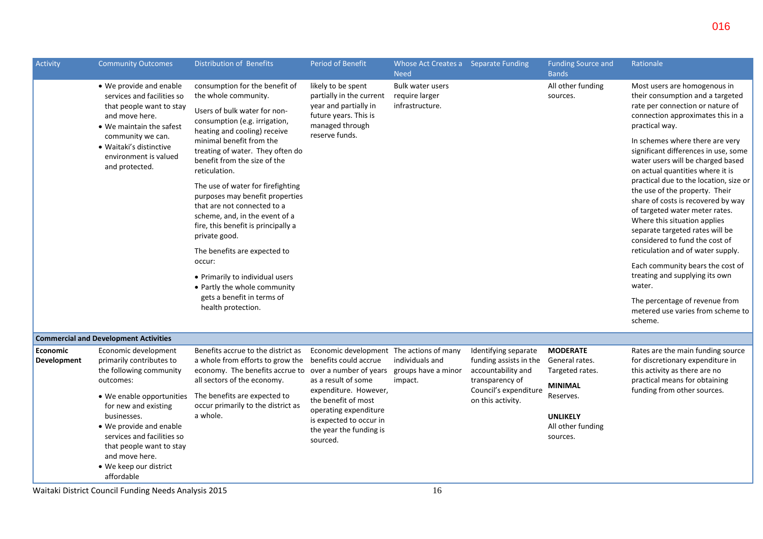| Activity                | <b>Community Outcomes</b>                                                                                                                                                                                                                                                                                                          | Distribution of Benefits                                                                                                                                                                                                                                                | <b>Period of Benefit</b>                                                                                                                                                                                   | Whose Act Creates a Separate Funding<br><b>Need</b>          |                                                                                                                                       | <b>Funding Source and</b><br><b>Bands</b>                                                                                        | Rationale                                                                                                                                                                                                                                             |
|-------------------------|------------------------------------------------------------------------------------------------------------------------------------------------------------------------------------------------------------------------------------------------------------------------------------------------------------------------------------|-------------------------------------------------------------------------------------------------------------------------------------------------------------------------------------------------------------------------------------------------------------------------|------------------------------------------------------------------------------------------------------------------------------------------------------------------------------------------------------------|--------------------------------------------------------------|---------------------------------------------------------------------------------------------------------------------------------------|----------------------------------------------------------------------------------------------------------------------------------|-------------------------------------------------------------------------------------------------------------------------------------------------------------------------------------------------------------------------------------------------------|
|                         | • We provide and enable<br>services and facilities so<br>that people want to stay<br>and move here.<br>• We maintain the safest                                                                                                                                                                                                    | consumption for the benefit of<br>the whole community.<br>Users of bulk water for non-<br>consumption (e.g. irrigation,<br>heating and cooling) receive                                                                                                                 | likely to be spent<br>partially in the current<br>year and partially in<br>future years. This is<br>managed through                                                                                        | <b>Bulk water users</b><br>require larger<br>infrastructure. |                                                                                                                                       | All other funding<br>sources.                                                                                                    | Most users are homogenous in<br>their consumption and a targeted<br>rate per connection or nature of<br>connection approximates this in a<br>practical way.                                                                                           |
|                         | community we can.<br>• Waitaki's distinctive<br>environment is valued<br>and protected.                                                                                                                                                                                                                                            | minimal benefit from the<br>treating of water. They often do<br>benefit from the size of the<br>reticulation.                                                                                                                                                           | reserve funds.                                                                                                                                                                                             |                                                              |                                                                                                                                       |                                                                                                                                  | In schemes where there are very<br>significant differences in use, some<br>water users will be charged based<br>on actual quantities where it is                                                                                                      |
|                         |                                                                                                                                                                                                                                                                                                                                    | The use of water for firefighting<br>purposes may benefit properties<br>that are not connected to a<br>scheme, and, in the event of a<br>fire, this benefit is principally a<br>private good.                                                                           |                                                                                                                                                                                                            |                                                              |                                                                                                                                       |                                                                                                                                  | practical due to the location, size or<br>the use of the property. Their<br>share of costs is recovered by way<br>of targeted water meter rates.<br>Where this situation applies<br>separate targeted rates will be<br>considered to fund the cost of |
|                         |                                                                                                                                                                                                                                                                                                                                    | The benefits are expected to                                                                                                                                                                                                                                            |                                                                                                                                                                                                            |                                                              |                                                                                                                                       |                                                                                                                                  | reticulation and of water supply.                                                                                                                                                                                                                     |
|                         |                                                                                                                                                                                                                                                                                                                                    | occur:<br>• Primarily to individual users<br>• Partly the whole community                                                                                                                                                                                               |                                                                                                                                                                                                            |                                                              |                                                                                                                                       |                                                                                                                                  | Each community bears the cost of<br>treating and supplying its own<br>water.                                                                                                                                                                          |
|                         |                                                                                                                                                                                                                                                                                                                                    | gets a benefit in terms of<br>health protection.                                                                                                                                                                                                                        |                                                                                                                                                                                                            |                                                              |                                                                                                                                       |                                                                                                                                  | The percentage of revenue from<br>metered use varies from scheme to<br>scheme.                                                                                                                                                                        |
|                         | <b>Commercial and Development Activities</b>                                                                                                                                                                                                                                                                                       |                                                                                                                                                                                                                                                                         |                                                                                                                                                                                                            |                                                              |                                                                                                                                       |                                                                                                                                  |                                                                                                                                                                                                                                                       |
| Economic<br>Development | Economic development<br>primarily contributes to<br>the following community<br>outcomes:<br>• We enable opportunities<br>for new and existing<br>businesses.<br>• We provide and enable<br>services and facilities so<br>that people want to stay<br>and move here.                                                                | Benefits accrue to the district as<br>a whole from efforts to grow the benefits could accrue<br>economy. The benefits accrue to over a number of years<br>all sectors of the economy.<br>The benefits are expected to<br>occur primarily to the district as<br>a whole. | Economic development The actions of many<br>as a result of some<br>expenditure. However,<br>the benefit of most<br>operating expenditure<br>is expected to occur in<br>the year the funding is<br>sourced. | individuals and<br>groups have a minor<br>impact.            | Identifying separate<br>funding assists in the<br>accountability and<br>transparency of<br>Council's expenditure<br>on this activity. | <b>MODERATE</b><br>General rates.<br>Targeted rates.<br>MINIMAL<br>Reserves.<br><b>UNLIKELY</b><br>All other funding<br>sources. | Rates are the main funding source<br>for discretionary expenditure in<br>this activity as there are no<br>practical means for obtaining<br>funding from other sources.                                                                                |
|                         | • We keep our district<br>affordable                                                                                                                                                                                                                                                                                               |                                                                                                                                                                                                                                                                         |                                                                                                                                                                                                            |                                                              |                                                                                                                                       |                                                                                                                                  |                                                                                                                                                                                                                                                       |
| .                       | $\mathbf{r}$ $\mathbf{r}$ $\mathbf{r}$ $\mathbf{r}$ $\mathbf{r}$ $\mathbf{r}$ $\mathbf{r}$ $\mathbf{r}$ $\mathbf{r}$ $\mathbf{r}$ $\mathbf{r}$ $\mathbf{r}$ $\mathbf{r}$ $\mathbf{r}$ $\mathbf{r}$ $\mathbf{r}$ $\mathbf{r}$ $\mathbf{r}$ $\mathbf{r}$ $\mathbf{r}$ $\mathbf{r}$ $\mathbf{r}$ $\mathbf{r}$ $\mathbf{r}$ $\mathbf{$ |                                                                                                                                                                                                                                                                         |                                                                                                                                                                                                            | $\sim$                                                       |                                                                                                                                       |                                                                                                                                  |                                                                                                                                                                                                                                                       |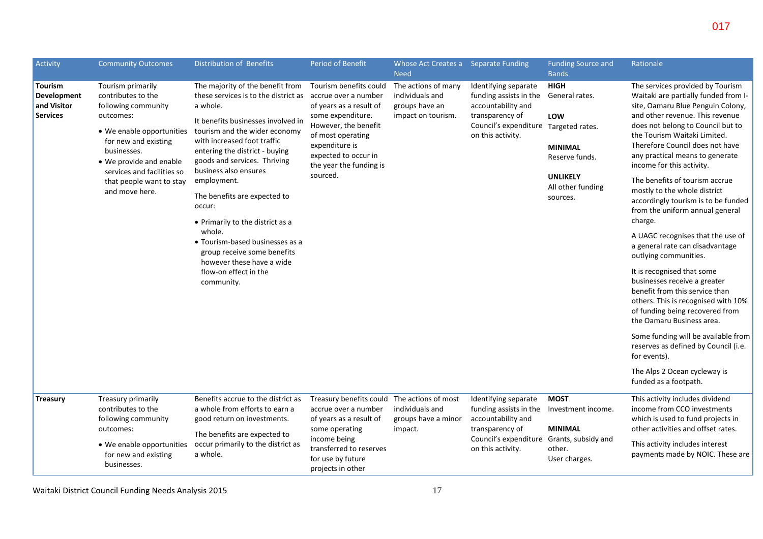| Activity                                                        | <b>Community Outcomes</b>                                                                                                                                                                                                                              | <b>Distribution of Benefits</b>                                                                                                                                                                                                                                                                                                                                                                                                                                                                                                    | <b>Period of Benefit</b>                                                                                                                                                                                                     | Whose Act Creates a Separate Funding<br><b>Need</b>                            |                                                                                                                                                       | <b>Funding Source and</b><br><b>Bands</b>                                                                                    | Rationale                                                                                                                                                                                                                                                                                                                                                                                                                                                                                                                                                                                                                                                                                                                                                                                                                                                                                                                                       |
|-----------------------------------------------------------------|--------------------------------------------------------------------------------------------------------------------------------------------------------------------------------------------------------------------------------------------------------|------------------------------------------------------------------------------------------------------------------------------------------------------------------------------------------------------------------------------------------------------------------------------------------------------------------------------------------------------------------------------------------------------------------------------------------------------------------------------------------------------------------------------------|------------------------------------------------------------------------------------------------------------------------------------------------------------------------------------------------------------------------------|--------------------------------------------------------------------------------|-------------------------------------------------------------------------------------------------------------------------------------------------------|------------------------------------------------------------------------------------------------------------------------------|-------------------------------------------------------------------------------------------------------------------------------------------------------------------------------------------------------------------------------------------------------------------------------------------------------------------------------------------------------------------------------------------------------------------------------------------------------------------------------------------------------------------------------------------------------------------------------------------------------------------------------------------------------------------------------------------------------------------------------------------------------------------------------------------------------------------------------------------------------------------------------------------------------------------------------------------------|
| <b>Tourism</b><br>Development<br>and Visitor<br><b>Services</b> | Tourism primarily<br>contributes to the<br>following community<br>outcomes:<br>• We enable opportunities<br>for new and existing<br>businesses.<br>• We provide and enable<br>services and facilities so<br>that people want to stay<br>and move here. | The majority of the benefit from<br>these services is to the district as<br>a whole.<br>It benefits businesses involved in<br>tourism and the wider economy<br>with increased foot traffic<br>entering the district - buying<br>goods and services. Thriving<br>business also ensures<br>employment.<br>The benefits are expected to<br>occur:<br>• Primarily to the district as a<br>whole.<br>• Tourism-based businesses as a<br>group receive some benefits<br>however these have a wide<br>flow-on effect in the<br>community. | Tourism benefits could<br>accrue over a number<br>of years as a result of<br>some expenditure.<br>However, the benefit<br>of most operating<br>expenditure is<br>expected to occur in<br>the year the funding is<br>sourced. | The actions of many<br>individuals and<br>groups have an<br>impact on tourism. | Identifying separate<br>funding assists in the<br>accountability and<br>transparency of<br>Council's expenditure Targeted rates.<br>on this activity. | <b>HIGH</b><br>General rates.<br>LOW<br><b>MINIMAL</b><br>Reserve funds.<br><b>UNLIKELY</b><br>All other funding<br>sources. | The services provided by Tourism<br>Waitaki are partially funded from I-<br>site, Oamaru Blue Penguin Colony,<br>and other revenue. This revenue<br>does not belong to Council but to<br>the Tourism Waitaki Limited.<br>Therefore Council does not have<br>any practical means to generate<br>income for this activity.<br>The benefits of tourism accrue<br>mostly to the whole district<br>accordingly tourism is to be funded<br>from the uniform annual general<br>charge.<br>A UAGC recognises that the use of<br>a general rate can disadvantage<br>outlying communities.<br>It is recognised that some<br>businesses receive a greater<br>benefit from this service than<br>others. This is recognised with 10%<br>of funding being recovered from<br>the Oamaru Business area.<br>Some funding will be available from<br>reserves as defined by Council (i.e.<br>for events).<br>The Alps 2 Ocean cycleway is<br>funded as a footpath. |
| <b>Treasury</b>                                                 | Treasury primarily<br>contributes to the<br>following community<br>outcomes:<br>• We enable opportunities<br>for new and existing<br>businesses.                                                                                                       | Benefits accrue to the district as<br>a whole from efforts to earn a<br>good return on investments.<br>The benefits are expected to<br>occur primarily to the district as<br>a whole.                                                                                                                                                                                                                                                                                                                                              | Treasury benefits could The actions of most<br>accrue over a number<br>of years as a result of<br>some operating<br>income being<br>transferred to reserves<br>for use by future<br>projects in other                        | individuals and<br>groups have a minor<br>impact.                              | Identifying separate<br>funding assists in the<br>accountability and<br>transparency of<br>Council's expenditure<br>on this activity.                 | <b>MOST</b><br>Investment income.<br><b>MINIMAL</b><br>Grants, subsidy and<br>other.<br>User charges.                        | This activity includes dividend<br>income from CCO investments<br>which is used to fund projects in<br>other activities and offset rates.<br>This activity includes interest<br>payments made by NOIC. These are                                                                                                                                                                                                                                                                                                                                                                                                                                                                                                                                                                                                                                                                                                                                |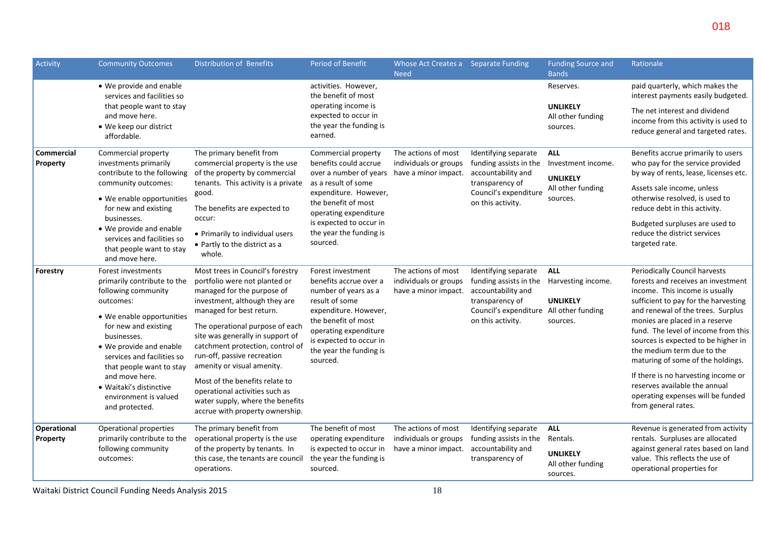| Activity                                                                                                                                                                                                                                                                                                       | <b>Community Outcomes</b>                                                                                                                   | <b>Distribution of Benefits</b>                                                                                                                                                                  | <b>Period of Benefit</b>                                                                                                                                                                                                         | Whose Act Creates a Separate Funding<br><b>Need</b>                                                              |                                                                                                                                                         | <b>Funding Source and</b><br><b>Bands</b>                                                                                                           | Rationale                                                                                                                                                                                                            |
|----------------------------------------------------------------------------------------------------------------------------------------------------------------------------------------------------------------------------------------------------------------------------------------------------------------|---------------------------------------------------------------------------------------------------------------------------------------------|--------------------------------------------------------------------------------------------------------------------------------------------------------------------------------------------------|----------------------------------------------------------------------------------------------------------------------------------------------------------------------------------------------------------------------------------|------------------------------------------------------------------------------------------------------------------|---------------------------------------------------------------------------------------------------------------------------------------------------------|-----------------------------------------------------------------------------------------------------------------------------------------------------|----------------------------------------------------------------------------------------------------------------------------------------------------------------------------------------------------------------------|
|                                                                                                                                                                                                                                                                                                                | • We provide and enable<br>services and facilities so                                                                                       |                                                                                                                                                                                                  | activities. However,<br>the benefit of most                                                                                                                                                                                      |                                                                                                                  |                                                                                                                                                         | Reserves.                                                                                                                                           | paid quarterly, which makes the<br>interest payments easily budgeted.                                                                                                                                                |
|                                                                                                                                                                                                                                                                                                                | that people want to stay<br>and move here.<br>• We keep our district<br>affordable.                                                         |                                                                                                                                                                                                  | operating income is<br>expected to occur in<br>the year the funding is<br>earned.                                                                                                                                                |                                                                                                                  |                                                                                                                                                         | <b>UNLIKELY</b><br>All other funding<br>sources.                                                                                                    | The net interest and dividend<br>income from this activity is used to<br>reduce general and targeted rates.                                                                                                          |
| <b>Commercial</b><br>Commercial property<br>investments primarily<br>Property<br>contribute to the following<br>community outcomes:<br>• We enable opportunities<br>for new and existing<br>businesses.<br>• We provide and enable<br>services and facilities so<br>that people want to stay<br>and move here. | The primary benefit from<br>commercial property is the use<br>of the property by commercial<br>tenants. This activity is a private<br>good. | Commercial property<br>benefits could accrue<br>over a number of years<br>as a result of some<br>expenditure. However,                                                                           | The actions of most<br>individuals or groups<br>have a minor impact.                                                                                                                                                             | Identifying separate<br>funding assists in the<br>accountability and<br>transparency of<br>Council's expenditure | <b>ALL</b><br>Investment income.<br><b>UNLIKELY</b><br>All other funding<br>sources.                                                                    | Benefits accrue primarily to users<br>who pay for the service provided<br>by way of rents, lease, licenses etc.<br>Assets sale income, unless       |                                                                                                                                                                                                                      |
|                                                                                                                                                                                                                                                                                                                | The benefits are expected to<br>occur:<br>• Primarily to individual users<br>• Partly to the district as a                                  | the benefit of most<br>operating expenditure<br>is expected to occur in<br>the year the funding is<br>sourced.                                                                                   |                                                                                                                                                                                                                                  | on this activity.                                                                                                |                                                                                                                                                         | otherwise resolved, is used to<br>reduce debt in this activity.<br>Budgeted surpluses are used to<br>reduce the district services<br>targeted rate. |                                                                                                                                                                                                                      |
|                                                                                                                                                                                                                                                                                                                |                                                                                                                                             | whole.                                                                                                                                                                                           |                                                                                                                                                                                                                                  |                                                                                                                  |                                                                                                                                                         |                                                                                                                                                     |                                                                                                                                                                                                                      |
| Forestry<br>outcomes:<br>businesses.                                                                                                                                                                                                                                                                           | Forest investments<br>primarily contribute to the<br>following community                                                                    | Most trees in Council's forestry<br>portfolio were not planted or<br>managed for the purpose of<br>investment, although they are                                                                 | Forest investment<br>benefits accrue over a<br>number of years as a<br>result of some<br>expenditure. However,<br>the benefit of most<br>operating expenditure<br>is expected to occur in<br>the year the funding is<br>sourced. | The actions of most<br>individuals or groups<br>have a minor impact.                                             | Identifying separate<br>funding assists in the<br>accountability and<br>transparency of<br>Council's expenditure All other funding<br>on this activity. | <b>ALL</b><br>Harvesting income.<br><b>UNLIKELY</b><br>sources.                                                                                     | Periodically Council harvests<br>forests and receives an investment<br>income. This income is usually<br>sufficient to pay for the harvesting                                                                        |
|                                                                                                                                                                                                                                                                                                                | • We enable opportunities<br>for new and existing<br>• We provide and enable<br>services and facilities so<br>that people want to stay      | managed for best return.<br>The operational purpose of each<br>site was generally in support of<br>catchment protection, control of<br>run-off, passive recreation<br>amenity or visual amenity. |                                                                                                                                                                                                                                  |                                                                                                                  |                                                                                                                                                         |                                                                                                                                                     | and renewal of the trees. Surplus<br>monies are placed in a reserve<br>fund. The level of income from this<br>sources is expected to be higher in<br>the medium term due to the<br>maturing of some of the holdings. |
|                                                                                                                                                                                                                                                                                                                | and move here.<br>• Waitaki's distinctive<br>environment is valued<br>and protected.                                                        | Most of the benefits relate to<br>operational activities such as<br>water supply, where the benefits<br>accrue with property ownership.                                                          |                                                                                                                                                                                                                                  |                                                                                                                  |                                                                                                                                                         |                                                                                                                                                     | If there is no harvesting income or<br>reserves available the annual<br>operating expenses will be funded<br>from general rates.                                                                                     |
| Operational<br>Property                                                                                                                                                                                                                                                                                        | Operational properties<br>primarily contribute to the                                                                                       | The primary benefit from<br>operational property is the use                                                                                                                                      | The benefit of most<br>operating expenditure                                                                                                                                                                                     | The actions of most<br>individuals or groups                                                                     | Identifying separate<br>funding assists in the                                                                                                          | <b>ALL</b><br>Rentals.                                                                                                                              | Revenue is generated from activity<br>rentals. Surpluses are allocated                                                                                                                                               |
|                                                                                                                                                                                                                                                                                                                | following community<br>outcomes:                                                                                                            | of the property by tenants. In<br>this case, the tenants are council<br>operations.                                                                                                              | is expected to occur in<br>the year the funding is<br>sourced.                                                                                                                                                                   | have a minor impact.                                                                                             | accountability and<br>transparency of                                                                                                                   | <b>UNLIKELY</b><br>All other funding<br>sources.                                                                                                    | against general rates based on land<br>value. This reflects the use of<br>operational properties for                                                                                                                 |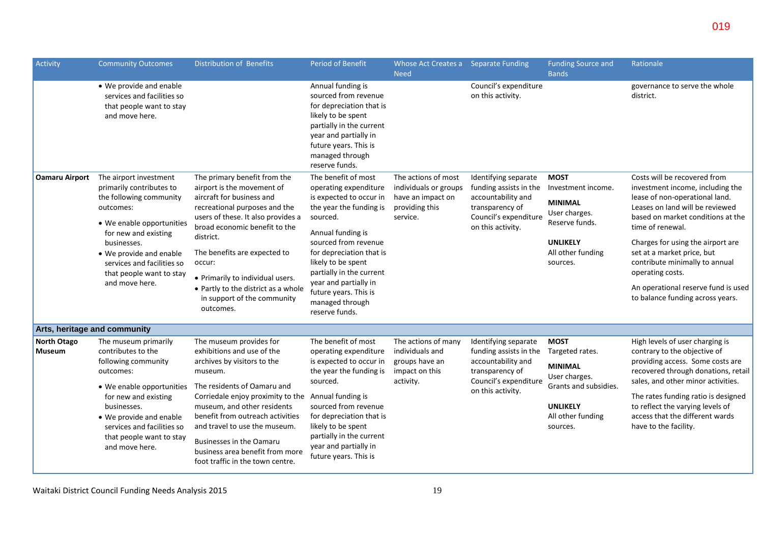| Activity                            | <b>Community Outcomes</b>                                                                                                                                                                                                                                             | <b>Distribution of Benefits</b>                                                                                                                                                                                                                                                                                                                                               | Period of Benefit                                                                                                                                                                                                                                                                                                                | Whose Act Creates a Separate Funding                                                            |                                                                                                                                       | <b>Funding Source and</b>                                                                                                                      | Rationale                                                                                                                                                                                                                                                                                                                                                                                          |
|-------------------------------------|-----------------------------------------------------------------------------------------------------------------------------------------------------------------------------------------------------------------------------------------------------------------------|-------------------------------------------------------------------------------------------------------------------------------------------------------------------------------------------------------------------------------------------------------------------------------------------------------------------------------------------------------------------------------|----------------------------------------------------------------------------------------------------------------------------------------------------------------------------------------------------------------------------------------------------------------------------------------------------------------------------------|-------------------------------------------------------------------------------------------------|---------------------------------------------------------------------------------------------------------------------------------------|------------------------------------------------------------------------------------------------------------------------------------------------|----------------------------------------------------------------------------------------------------------------------------------------------------------------------------------------------------------------------------------------------------------------------------------------------------------------------------------------------------------------------------------------------------|
|                                     | • We provide and enable<br>services and facilities so<br>that people want to stay<br>and move here.                                                                                                                                                                   |                                                                                                                                                                                                                                                                                                                                                                               | Annual funding is<br>sourced from revenue<br>for depreciation that is<br>likely to be spent<br>partially in the current<br>year and partially in<br>future years. This is<br>managed through<br>reserve funds.                                                                                                                   | <b>Need</b>                                                                                     | Council's expenditure<br>on this activity.                                                                                            | <b>Bands</b>                                                                                                                                   | governance to serve the whole<br>district.                                                                                                                                                                                                                                                                                                                                                         |
| <b>Oamaru Airport</b>               | The airport investment<br>primarily contributes to<br>the following community<br>outcomes:<br>• We enable opportunities<br>for new and existing<br>businesses.<br>• We provide and enable<br>services and facilities so<br>that people want to stay<br>and move here. | The primary benefit from the<br>airport is the movement of<br>aircraft for business and<br>recreational purposes and the<br>users of these. It also provides a<br>broad economic benefit to the<br>district.<br>The benefits are expected to<br>occur:<br>• Primarily to individual users.<br>• Partly to the district as a whole<br>in support of the community<br>outcomes. | The benefit of most<br>operating expenditure<br>is expected to occur in<br>the year the funding is<br>sourced.<br>Annual funding is<br>sourced from revenue<br>for depreciation that is<br>likely to be spent<br>partially in the current<br>year and partially in<br>future years. This is<br>managed through<br>reserve funds. | The actions of most<br>individuals or groups<br>have an impact on<br>providing this<br>service. | Identifying separate<br>funding assists in the<br>accountability and<br>transparency of<br>Council's expenditure<br>on this activity. | <b>MOST</b><br>Investment income.<br><b>MINIMAL</b><br>User charges.<br>Reserve funds.<br><b>UNLIKELY</b><br>All other funding<br>sources.     | Costs will be recovered from<br>investment income, including the<br>lease of non-operational land.<br>Leases on land will be reviewed<br>based on market conditions at the<br>time of renewal.<br>Charges for using the airport are<br>set at a market price, but<br>contribute minimally to annual<br>operating costs.<br>An operational reserve fund is used<br>to balance funding across years. |
| Arts, heritage and community        |                                                                                                                                                                                                                                                                       |                                                                                                                                                                                                                                                                                                                                                                               |                                                                                                                                                                                                                                                                                                                                  |                                                                                                 |                                                                                                                                       |                                                                                                                                                |                                                                                                                                                                                                                                                                                                                                                                                                    |
| <b>North Otago</b><br><b>Museum</b> | The museum primarily<br>contributes to the<br>following community<br>outcomes:<br>• We enable opportunities<br>for new and existing<br>businesses.<br>• We provide and enable<br>services and facilities so<br>that people want to stay<br>and move here.             | The museum provides for<br>exhibitions and use of the<br>archives by visitors to the<br>museum.<br>The residents of Oamaru and<br>Corriedale enjoy proximity to the<br>museum, and other residents<br>benefit from outreach activities<br>and travel to use the museum.<br>Businesses in the Oamaru<br>business area benefit from more<br>foot traffic in the town centre.    | The benefit of most<br>operating expenditure<br>is expected to occur in<br>the year the funding is<br>sourced.<br>Annual funding is<br>sourced from revenue<br>for depreciation that is<br>likely to be spent<br>partially in the current<br>year and partially in<br>future years. This is                                      | The actions of many<br>individuals and<br>groups have an<br>impact on this<br>activity.         | Identifying separate<br>funding assists in the<br>accountability and<br>transparency of<br>Council's expenditure<br>on this activity. | <b>MOST</b><br>Targeted rates.<br><b>MINIMAL</b><br>User charges.<br>Grants and subsidies.<br><b>UNLIKELY</b><br>All other funding<br>sources. | High levels of user charging is<br>contrary to the objective of<br>providing access. Some costs are<br>recovered through donations, retail<br>sales, and other minor activities.<br>The rates funding ratio is designed<br>to reflect the varying levels of<br>access that the different wards<br>have to the facility.                                                                            |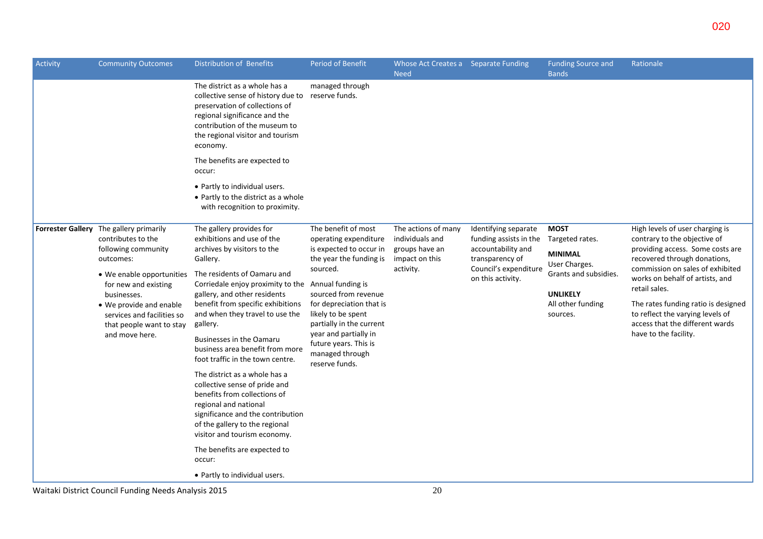| Activity | <b>Community Outcomes</b>                                                                                                                                       | <b>Distribution of Benefits</b>                                                                                                                                                                                                        | Period of Benefit                                                                                                                                                                                     | Whose Act Creates a Separate Funding<br><b>Need</b> |                                                | <b>Funding Source and</b><br><b>Bands</b>        | Rationale                                                                                                                           |
|----------|-----------------------------------------------------------------------------------------------------------------------------------------------------------------|----------------------------------------------------------------------------------------------------------------------------------------------------------------------------------------------------------------------------------------|-------------------------------------------------------------------------------------------------------------------------------------------------------------------------------------------------------|-----------------------------------------------------|------------------------------------------------|--------------------------------------------------|-------------------------------------------------------------------------------------------------------------------------------------|
|          |                                                                                                                                                                 | The district as a whole has a<br>collective sense of history due to reserve funds.<br>preservation of collections of<br>regional significance and the<br>contribution of the museum to<br>the regional visitor and tourism<br>economy. | managed through                                                                                                                                                                                       |                                                     |                                                |                                                  |                                                                                                                                     |
|          |                                                                                                                                                                 | The benefits are expected to<br>occur:                                                                                                                                                                                                 |                                                                                                                                                                                                       |                                                     |                                                |                                                  |                                                                                                                                     |
|          |                                                                                                                                                                 | • Partly to individual users.<br>• Partly to the district as a whole<br>with recognition to proximity.                                                                                                                                 |                                                                                                                                                                                                       |                                                     |                                                |                                                  |                                                                                                                                     |
|          | Forrester Gallery The gallery primarily<br>contributes to the                                                                                                   | The gallery provides for<br>exhibitions and use of the                                                                                                                                                                                 | The benefit of most<br>operating expenditure                                                                                                                                                          | The actions of many<br>individuals and              | Identifying separate<br>funding assists in the | <b>MOST</b><br>Targeted rates.                   | High levels of user charging is<br>contrary to the objective of                                                                     |
|          | following community<br>archives by visitors to the<br>outcomes:<br>Gallery.<br>The residents of Oamaru and<br>• We enable opportunities<br>for new and existing |                                                                                                                                                                                                                                        | is expected to occur in<br>the year the funding is                                                                                                                                                    | groups have an<br>impact on this                    | accountability and<br>transparency of          | <b>MINIMAL</b><br>User Charges.                  | providing access. Some costs are<br>recovered through donations,                                                                    |
|          |                                                                                                                                                                 | Corriedale enjoy proximity to the Annual funding is                                                                                                                                                                                    | sourced.<br>sourced from revenue<br>for depreciation that is<br>likely to be spent<br>partially in the current<br>year and partially in<br>future years. This is<br>managed through<br>reserve funds. | activity.                                           | Council's expenditure<br>on this activity.     | Grants and subsidies.                            | commission on sales of exhibited<br>works on behalf of artists, and<br>retail sales.                                                |
|          | businesses.<br>• We provide and enable<br>services and facilities so<br>that people want to stay                                                                | gallery, and other residents<br>benefit from specific exhibitions<br>and when they travel to use the<br>gallery.                                                                                                                       |                                                                                                                                                                                                       |                                                     |                                                | <b>UNLIKELY</b><br>All other funding<br>sources. | The rates funding ratio is designed<br>to reflect the varying levels of<br>access that the different wards<br>have to the facility. |
|          | and move here.                                                                                                                                                  | <b>Businesses in the Oamaru</b><br>business area benefit from more<br>foot traffic in the town centre.                                                                                                                                 |                                                                                                                                                                                                       |                                                     |                                                |                                                  |                                                                                                                                     |
|          |                                                                                                                                                                 | The district as a whole has a<br>collective sense of pride and<br>benefits from collections of<br>regional and national<br>significance and the contribution<br>of the gallery to the regional                                         |                                                                                                                                                                                                       |                                                     |                                                |                                                  |                                                                                                                                     |
|          |                                                                                                                                                                 | visitor and tourism economy.<br>The benefits are expected to<br>occur:                                                                                                                                                                 |                                                                                                                                                                                                       |                                                     |                                                |                                                  |                                                                                                                                     |
|          |                                                                                                                                                                 | • Partly to individual users.                                                                                                                                                                                                          |                                                                                                                                                                                                       |                                                     |                                                |                                                  |                                                                                                                                     |

Waitaki District Council Funding Needs Analysis 2015 20 and the state of the Second 20 and 20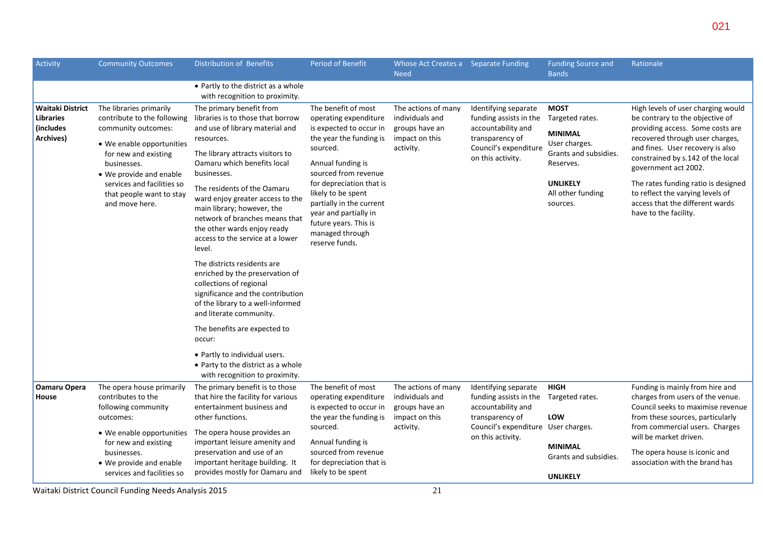| Whose Act Creates a<br><b>Need</b>                                                      | <b>Separate Funding</b>                                                                                                               | <b>Funding Source and</b><br><b>Bands</b>                                                               | Rationale                                                                                                                                                                                                                                     |
|-----------------------------------------------------------------------------------------|---------------------------------------------------------------------------------------------------------------------------------------|---------------------------------------------------------------------------------------------------------|-----------------------------------------------------------------------------------------------------------------------------------------------------------------------------------------------------------------------------------------------|
|                                                                                         |                                                                                                                                       |                                                                                                         |                                                                                                                                                                                                                                               |
| The actions of many<br>individuals and<br>groups have an<br>impact on this<br>activity. | Identifying separate<br>funding assists in the<br>accountability and<br>transparency of<br>Council's expenditure<br>on this activity. | <b>MOST</b><br>Targeted rates.<br><b>MINIMAL</b><br>User charges.<br>Grants and subsidies.<br>Reserves. | High levels of user charging would<br>be contrary to the objective of<br>providing access. Some costs are<br>recovered through user charges,<br>and fines. User recovery is also<br>constrained by s.142 of the local<br>government act 2002. |

| The benefit of most<br>operating expenditure<br>is expected to occur in<br>the year the funding is<br>sourced.<br>Annual funding is<br>sourced from revenue       | The actions of many<br>individuals and<br>groups have an<br>impact on this<br>activity. | Identifying separate<br>funding assists in the<br>accountability and<br>transparency of<br>Council's expenditure<br>on this activity. | <b>MOST</b><br>Targeted rates.<br><b>MINIMAL</b><br>User charges.<br>Grants and subsidies.<br>Reserves. | High levels of user charging would<br>be contrary to the objective of<br>providing access. Some costs are<br>recovered through user charges,<br>and fines. User recovery is also<br>constrained by s.142 of the local<br>government act 2002. |
|-------------------------------------------------------------------------------------------------------------------------------------------------------------------|-----------------------------------------------------------------------------------------|---------------------------------------------------------------------------------------------------------------------------------------|---------------------------------------------------------------------------------------------------------|-----------------------------------------------------------------------------------------------------------------------------------------------------------------------------------------------------------------------------------------------|
| for depreciation that is<br>likely to be spent<br>partially in the current<br>year and partially in<br>future years. This is<br>managed through<br>reserve funds. |                                                                                         |                                                                                                                                       | <b>UNLIKELY</b><br>All other funding<br>sources.                                                        | The rates funding ratio is designed<br>to reflect the varying levels of<br>access that the different wards<br>have to the facility.                                                                                                           |

| Archives)                    | • We enable opportunities<br>for new and existing<br>businesses.<br>• We provide and enable<br>services and facilities so<br>that people want to stay<br>and move here. | resources.<br>The library attracts visitors to<br>Oamaru which benefits local<br>businesses.<br>The residents of the Oamaru<br>ward enjoy greater access to the<br>main library; however, the<br>network of branches means that<br>the other wards enjoy ready<br>access to the service at a lower<br>level.<br>The districts residents are<br>enriched by the preservation of<br>collections of regional<br>significance and the contribution<br>of the library to a well-informed<br>and literate community.<br>The benefits are expected to<br>occur:<br>• Partly to individual users.<br>• Party to the district as a whole | the year the funding is<br>sourced.<br>Annual funding is<br>sourced from revenue<br>for depreciation that is<br>likely to be spent<br>partially in the current<br>year and partially in<br>future years. This is<br>managed through<br>reserve funds. | impact on this<br>activity.                              | transparency of<br>Council's expenditure<br>on this activity.        | IVIIIVIIVIAL<br>User charges.<br>Grants and subsidies.<br>Reserves.<br><b>UNLIKELY</b><br>All other funding<br>sources. | recovered through user charges,<br>and fines. User recovery is also<br>constrained by s.142 of the local<br>government act 2002.<br>The rates funding ratio is designed<br>to reflect the varying levels of<br>access that the different wards<br>have to the facility. |
|------------------------------|-------------------------------------------------------------------------------------------------------------------------------------------------------------------------|---------------------------------------------------------------------------------------------------------------------------------------------------------------------------------------------------------------------------------------------------------------------------------------------------------------------------------------------------------------------------------------------------------------------------------------------------------------------------------------------------------------------------------------------------------------------------------------------------------------------------------|-------------------------------------------------------------------------------------------------------------------------------------------------------------------------------------------------------------------------------------------------------|----------------------------------------------------------|----------------------------------------------------------------------|-------------------------------------------------------------------------------------------------------------------------|-------------------------------------------------------------------------------------------------------------------------------------------------------------------------------------------------------------------------------------------------------------------------|
| <b>Oamaru Opera</b><br>House | The opera house primarily<br>contributes to the<br>following community                                                                                                  | with recognition to proximity.<br>The primary benefit is to those<br>that hire the facility for various<br>entertainment business and                                                                                                                                                                                                                                                                                                                                                                                                                                                                                           | The benefit of most<br>operating expenditure<br>is expected to occur in                                                                                                                                                                               | The actions of many<br>individuals and<br>groups have an | Identifying separate<br>funding assists in the<br>accountability and | <b>HIGH</b><br>Targeted rates.                                                                                          | Funding is mainly from hire and<br>charges from users of the venue.<br>Council seeks to maximise revenue                                                                                                                                                                |
|                              | outcomes:                                                                                                                                                               | other functions.                                                                                                                                                                                                                                                                                                                                                                                                                                                                                                                                                                                                                | the year the funding is                                                                                                                                                                                                                               | impact on this                                           | transparency of                                                      | LOW                                                                                                                     | from these sources, particularly                                                                                                                                                                                                                                        |
|                              | • We enable opportunities<br>for new and existing<br>businesses.<br>• We provide and enable<br>services and facilities so                                               | The opera house provides an<br>important leisure amenity and<br>preservation and use of an<br>important heritage building. It<br>provides mostly for Oamaru and                                                                                                                                                                                                                                                                                                                                                                                                                                                                 | sourced.<br>Annual funding is<br>sourced from revenue<br>for depreciation that is<br>likely to be spent                                                                                                                                               | activity.                                                | Council's expenditure<br>on this activity.                           | User charges.<br><b>MINIMAL</b><br>Grants and subsidies.<br><b>UNLIKELY</b>                                             | from commercial users. Charges<br>will be market driven.<br>The opera house is iconic and<br>association with the brand has                                                                                                                                             |
|                              | Waitaki District Council Funding Needs Analysis 2015                                                                                                                    |                                                                                                                                                                                                                                                                                                                                                                                                                                                                                                                                                                                                                                 |                                                                                                                                                                                                                                                       | 21                                                       |                                                                      |                                                                                                                         |                                                                                                                                                                                                                                                                         |

Activity Community Outcomes Distribution of Benefits Period of Benefit

contribute to the following libraries is to those that borrow

**Waitaki District Libraries (includes** 

The libraries primarily

community outcomes:

• Partly to the district as a whole with recognition to proximity.

The primary benefit from

and use of library material and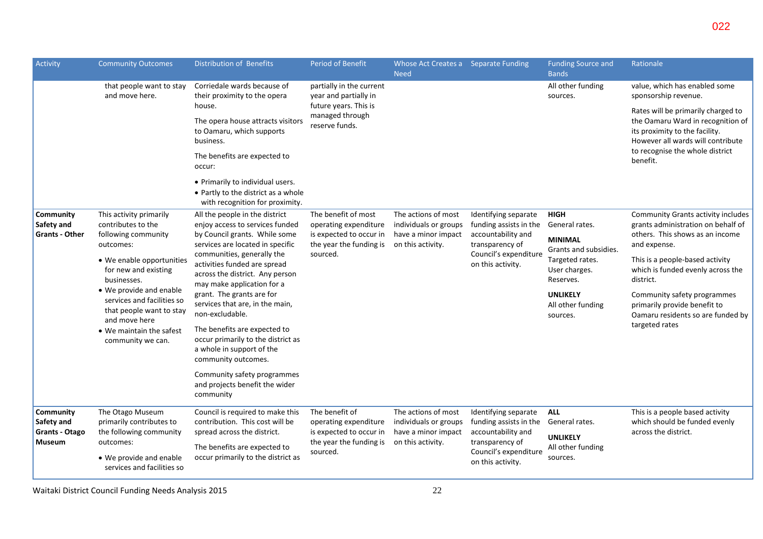| Activity                            | <b>Community Outcomes</b>                                                                                                                           | Distribution of Benefits                                                                                                    | <b>Period of Benefit</b>                                   | Whose Act Creates a Separate Funding<br><b>Need</b> |                                                | <b>Funding Source and</b><br><b>Bands</b>        | Rationale                                                                                                                                      |
|-------------------------------------|-----------------------------------------------------------------------------------------------------------------------------------------------------|-----------------------------------------------------------------------------------------------------------------------------|------------------------------------------------------------|-----------------------------------------------------|------------------------------------------------|--------------------------------------------------|------------------------------------------------------------------------------------------------------------------------------------------------|
|                                     | that people want to stay<br>and move here.                                                                                                          | Corriedale wards because of<br>their proximity to the opera                                                                 | partially in the current<br>year and partially in          |                                                     |                                                | All other funding<br>sources.                    | value, which has enabled some<br>sponsorship revenue.                                                                                          |
|                                     |                                                                                                                                                     | house.<br>The opera house attracts visitors<br>to Oamaru, which supports<br>business.                                       | future years. This is<br>managed through<br>reserve funds. |                                                     |                                                |                                                  | Rates will be primarily charged to<br>the Oamaru Ward in recognition of<br>its proximity to the facility.<br>However all wards will contribute |
|                                     |                                                                                                                                                     | The benefits are expected to<br>occur:                                                                                      |                                                            |                                                     |                                                |                                                  | to recognise the whole district<br>benefit.                                                                                                    |
|                                     |                                                                                                                                                     | • Primarily to individual users.<br>• Partly to the district as a whole<br>with recognition for proximity.                  |                                                            |                                                     |                                                |                                                  |                                                                                                                                                |
| Community<br>Safety and             | This activity primarily<br>contributes to the<br>following community<br>outcomes:                                                                   | All the people in the district<br>enjoy access to services funded                                                           | The benefit of most<br>operating expenditure               | The actions of most<br>individuals or groups        | Identifying separate<br>funding assists in the | <b>HIGH</b><br>General rates.                    | Community Grants activity includes<br>grants administration on behalf of                                                                       |
| <b>Grants - Other</b>               |                                                                                                                                                     | by Council grants. While some<br>services are located in specific                                                           | is expected to occur in<br>the year the funding is         | have a minor impact<br>on this activity.            | accountability and<br>transparency of          | <b>MINIMAL</b><br>Grants and subsidies.          | others. This shows as an income<br>and expense.                                                                                                |
| for new and existing<br>businesses. | • We enable opportunities                                                                                                                           | communities, generally the<br>activities funded are spread<br>across the district. Any person<br>may make application for a | sourced.                                                   |                                                     | Council's expenditure<br>on this activity.     | Targeted rates.<br>User charges.<br>Reserves.    | This is a people-based activity<br>which is funded evenly across the<br>district.                                                              |
|                                     | • We provide and enable<br>services and facilities so<br>that people want to stay<br>and move here<br>• We maintain the safest<br>community we can. | grant. The grants are for<br>services that are, in the main,<br>non-excludable.                                             |                                                            |                                                     |                                                | <b>UNLIKELY</b><br>All other funding<br>sources. | Community safety programmes<br>primarily provide benefit to<br>Oamaru residents so are funded by                                               |
|                                     |                                                                                                                                                     | The benefits are expected to<br>occur primarily to the district as<br>a whole in support of the<br>community outcomes.      |                                                            |                                                     |                                                |                                                  | targeted rates                                                                                                                                 |
|                                     |                                                                                                                                                     | Community safety programmes<br>and projects benefit the wider<br>community                                                  |                                                            |                                                     |                                                |                                                  |                                                                                                                                                |
| Community<br>Safety and             | The Otago Museum<br>primarily contributes to                                                                                                        | Council is required to make this<br>contribution. This cost will be                                                         | The benefit of<br>operating expenditure                    | The actions of most<br>individuals or groups        | Identifying separate<br>funding assists in the | <b>ALL</b><br>General rates.                     | This is a people based activity<br>which should be funded evenly                                                                               |
| Grants - Otago<br>Museum            | the following community<br>outcomes:                                                                                                                | spread across the district.                                                                                                 | is expected to occur in<br>the year the funding is         | have a minor impact<br>on this activity.            | accountability and<br>transparency of          | <b>UNLIKELY</b>                                  | across the district.                                                                                                                           |
|                                     | • We provide and enable<br>services and facilities so                                                                                               | The benefits are expected to<br>occur primarily to the district as                                                          | sourced.                                                   |                                                     | Council's expenditure<br>on this activity.     | All other funding<br>sources.                    |                                                                                                                                                |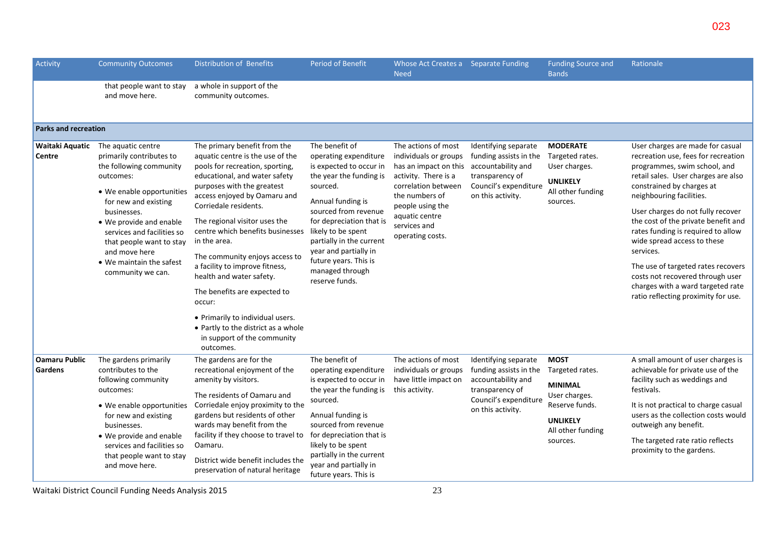| Activity                               | <b>Community Outcomes</b>                                                                                                                                                                                                                                                                                         | Distribution of Benefits                                                                                                                                                                                                                                                                                                                                                                                                                                                                                                                                                          | <b>Period of Benefit</b>                                                                                                                                                                                                                                                                                                    | Whose Act Creates a Separate Funding<br><b>Need</b>                                                                                                                                                              |                                                                                                                                       | <b>Funding Source and</b><br><b>Bands</b>                                                                                               | Rationale                                                                                                                                                                                                                                                                                                                                                                                                                                                                                                                   |
|----------------------------------------|-------------------------------------------------------------------------------------------------------------------------------------------------------------------------------------------------------------------------------------------------------------------------------------------------------------------|-----------------------------------------------------------------------------------------------------------------------------------------------------------------------------------------------------------------------------------------------------------------------------------------------------------------------------------------------------------------------------------------------------------------------------------------------------------------------------------------------------------------------------------------------------------------------------------|-----------------------------------------------------------------------------------------------------------------------------------------------------------------------------------------------------------------------------------------------------------------------------------------------------------------------------|------------------------------------------------------------------------------------------------------------------------------------------------------------------------------------------------------------------|---------------------------------------------------------------------------------------------------------------------------------------|-----------------------------------------------------------------------------------------------------------------------------------------|-----------------------------------------------------------------------------------------------------------------------------------------------------------------------------------------------------------------------------------------------------------------------------------------------------------------------------------------------------------------------------------------------------------------------------------------------------------------------------------------------------------------------------|
|                                        | that people want to stay<br>and move here.                                                                                                                                                                                                                                                                        | a whole in support of the<br>community outcomes.                                                                                                                                                                                                                                                                                                                                                                                                                                                                                                                                  |                                                                                                                                                                                                                                                                                                                             |                                                                                                                                                                                                                  |                                                                                                                                       |                                                                                                                                         |                                                                                                                                                                                                                                                                                                                                                                                                                                                                                                                             |
| Parks and recreation                   |                                                                                                                                                                                                                                                                                                                   |                                                                                                                                                                                                                                                                                                                                                                                                                                                                                                                                                                                   |                                                                                                                                                                                                                                                                                                                             |                                                                                                                                                                                                                  |                                                                                                                                       |                                                                                                                                         |                                                                                                                                                                                                                                                                                                                                                                                                                                                                                                                             |
| Waitaki Aquatic<br>Centre              | The aquatic centre<br>primarily contributes to<br>the following community<br>outcomes:<br>• We enable opportunities<br>for new and existing<br>businesses.<br>• We provide and enable<br>services and facilities so<br>that people want to stay<br>and move here<br>• We maintain the safest<br>community we can. | The primary benefit from the<br>aquatic centre is the use of the<br>pools for recreation, sporting,<br>educational, and water safety<br>purposes with the greatest<br>access enjoyed by Oamaru and<br>Corriedale residents.<br>The regional visitor uses the<br>centre which benefits businesses<br>in the area.<br>The community enjoys access to<br>a facility to improve fitness,<br>health and water safety.<br>The benefits are expected to<br>occur:<br>• Primarily to individual users.<br>• Partly to the district as a whole<br>in support of the community<br>outcomes. | The benefit of<br>operating expenditure<br>is expected to occur in<br>the year the funding is<br>sourced.<br>Annual funding is<br>sourced from revenue<br>for depreciation that is<br>likely to be spent<br>partially in the current<br>year and partially in<br>future years. This is<br>managed through<br>reserve funds. | The actions of most<br>individuals or groups<br>has an impact on this<br>activity. There is a<br>correlation between<br>the numbers of<br>people using the<br>aquatic centre<br>services and<br>operating costs. | Identifying separate<br>funding assists in the<br>accountability and<br>transparency of<br>Council's expenditure<br>on this activity. | <b>MODERATE</b><br>Targeted rates.<br>User charges.<br><b>UNLIKELY</b><br>All other funding<br>sources.                                 | User charges are made for casual<br>recreation use, fees for recreation<br>programmes, swim school, and<br>retail sales. User charges are also<br>constrained by charges at<br>neighbouring facilities.<br>User charges do not fully recover<br>the cost of the private benefit and<br>rates funding is required to allow<br>wide spread access to these<br>services.<br>The use of targeted rates recovers<br>costs not recovered through user<br>charges with a ward targeted rate<br>ratio reflecting proximity for use. |
| <b>Oamaru Public</b><br><b>Gardens</b> | The gardens primarily<br>contributes to the<br>following community<br>outcomes:<br>• We enable opportunities<br>for new and existing<br>businesses.<br>• We provide and enable<br>services and facilities so<br>that people want to stay<br>and move here.                                                        | The gardens are for the<br>recreational enjoyment of the<br>amenity by visitors.<br>The residents of Oamaru and<br>Corriedale enjoy proximity to the<br>gardens but residents of other<br>wards may benefit from the<br>facility if they choose to travel to<br>Oamaru.<br>District wide benefit includes the<br>preservation of natural heritage                                                                                                                                                                                                                                 | The benefit of<br>operating expenditure<br>is expected to occur in<br>the year the funding is<br>sourced.<br>Annual funding is<br>sourced from revenue<br>for depreciation that is<br>likely to be spent<br>partially in the current<br>year and partially in<br>future years. This is                                      | The actions of most<br>individuals or groups<br>have little impact on<br>this activity.                                                                                                                          | Identifying separate<br>funding assists in the<br>accountability and<br>transparency of<br>Council's expenditure<br>on this activity. | <b>MOST</b><br>Targeted rates.<br><b>MINIMAL</b><br>User charges.<br>Reserve funds.<br><b>UNLIKELY</b><br>All other funding<br>sources. | A small amount of user charges is<br>achievable for private use of the<br>facility such as weddings and<br>festivals.<br>It is not practical to charge casual<br>users as the collection costs would<br>outweigh any benefit.<br>The targeted rate ratio reflects<br>proximity to the gardens.                                                                                                                                                                                                                              |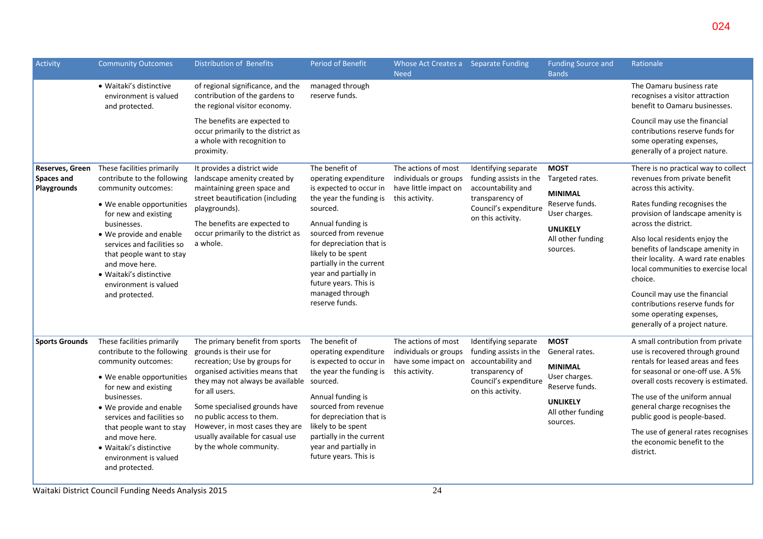| Activity                                                                                                                                                                  | <b>Community Outcomes</b>                                                                                             | Distribution of Benefits                                                                                                                             | <b>Period of Benefit</b>                                                                                                     | Whose Act Creates a Separate Funding<br><b>Need</b>                                     |                                                                                                                                       | <b>Funding Source and</b><br><b>Bands</b>                                                                                                                   | Rationale                                                                                                                                      |
|---------------------------------------------------------------------------------------------------------------------------------------------------------------------------|-----------------------------------------------------------------------------------------------------------------------|------------------------------------------------------------------------------------------------------------------------------------------------------|------------------------------------------------------------------------------------------------------------------------------|-----------------------------------------------------------------------------------------|---------------------------------------------------------------------------------------------------------------------------------------|-------------------------------------------------------------------------------------------------------------------------------------------------------------|------------------------------------------------------------------------------------------------------------------------------------------------|
|                                                                                                                                                                           | • Waitaki's distinctive<br>environment is valued<br>and protected.                                                    | of regional significance, and the<br>contribution of the gardens to<br>the regional visitor economy.                                                 | managed through<br>reserve funds.                                                                                            |                                                                                         |                                                                                                                                       |                                                                                                                                                             | The Oamaru business rate<br>recognises a visitor attraction<br>benefit to Oamaru businesses.                                                   |
|                                                                                                                                                                           |                                                                                                                       | The benefits are expected to<br>occur primarily to the district as<br>a whole with recognition to<br>proximity.                                      |                                                                                                                              |                                                                                         |                                                                                                                                       |                                                                                                                                                             | Council may use the financial<br>contributions reserve funds for<br>some operating expenses,<br>generally of a project nature.                 |
| Reserves, Green<br>Spaces and<br>Playgrounds                                                                                                                              | These facilities primarily<br>contribute to the following<br>community outcomes:                                      | It provides a district wide<br>landscape amenity created by<br>maintaining green space and                                                           | The benefit of<br>operating expenditure<br>is expected to occur in                                                           | The actions of most<br>individuals or groups<br>have little impact on<br>this activity. | Identifying separate<br>funding assists in the<br>accountability and<br>transparency of<br>Council's expenditure<br>on this activity. | <b>MOST</b><br>Targeted rates.<br><b>MINIMAL</b><br>Reserve funds.<br>User charges.                                                                         | There is no practical way to collect<br>revenues from private benefit<br>across this activity.                                                 |
|                                                                                                                                                                           | street beautification (including<br>• We enable opportunities<br>playgrounds).<br>for new and existing<br>businesses. | The benefits are expected to                                                                                                                         | the year the funding is<br>sourced.<br>Annual funding is                                                                     |                                                                                         |                                                                                                                                       |                                                                                                                                                             | Rates funding recognises the<br>provision of landscape amenity is<br>across the district.                                                      |
| • We provide and enable<br>services and facilities so<br>that people want to stay<br>and move here.<br>• Waitaki's distinctive<br>environment is valued<br>and protected. | occur primarily to the district as<br>a whole.                                                                        | sourced from revenue<br>for depreciation that is<br>likely to be spent<br>partially in the current<br>year and partially in<br>future years. This is |                                                                                                                              |                                                                                         | <b>UNLIKELY</b><br>All other funding<br>sources.                                                                                      | Also local residents enjoy the<br>benefits of landscape amenity in<br>their locality. A ward rate enables<br>local communities to exercise local<br>choice. |                                                                                                                                                |
|                                                                                                                                                                           |                                                                                                                       |                                                                                                                                                      | managed through<br>reserve funds.                                                                                            |                                                                                         |                                                                                                                                       |                                                                                                                                                             | Council may use the financial<br>contributions reserve funds for<br>some operating expenses,<br>generally of a project nature.                 |
| <b>Sports Grounds</b>                                                                                                                                                     | These facilities primarily<br>contribute to the following<br>community outcomes:<br>• We enable opportunities         | The primary benefit from sports<br>grounds is their use for<br>recreation; Use by groups for<br>organised activities means that                      | The benefit of<br>operating expenditure<br>is expected to occur in<br>the year the funding is                                | The actions of most<br>individuals or groups<br>have some impact on<br>this activity.   | Identifying separate<br>funding assists in the<br>accountability and<br>transparency of                                               | <b>MOST</b><br>General rates.<br><b>MINIMAL</b><br>User charges.                                                                                            | A small contribution from private<br>use is recovered through ground<br>rentals for leased areas and fees<br>for seasonal or one-off use. A 5% |
| for new and existing<br>businesses.<br>and move here.<br>• Waitaki's distinctive<br>and protected.                                                                        | • We provide and enable                                                                                               | they may not always be available sourced.<br>for all users.<br>Some specialised grounds have                                                         | Annual funding is<br>sourced from revenue                                                                                    |                                                                                         | Council's expenditure<br>on this activity.                                                                                            | Reserve funds.<br><b>UNLIKELY</b><br>All other funding<br>sources.                                                                                          | overall costs recovery is estimated.<br>The use of the uniform annual<br>general charge recognises the                                         |
|                                                                                                                                                                           | services and facilities so<br>that people want to stay<br>environment is valued                                       | no public access to them.<br>However, in most cases they are<br>usually available for casual use<br>by the whole community.                          | for depreciation that is<br>likely to be spent<br>partially in the current<br>year and partially in<br>future years. This is |                                                                                         |                                                                                                                                       |                                                                                                                                                             | public good is people-based.<br>The use of general rates recognises<br>the economic benefit to the<br>district.                                |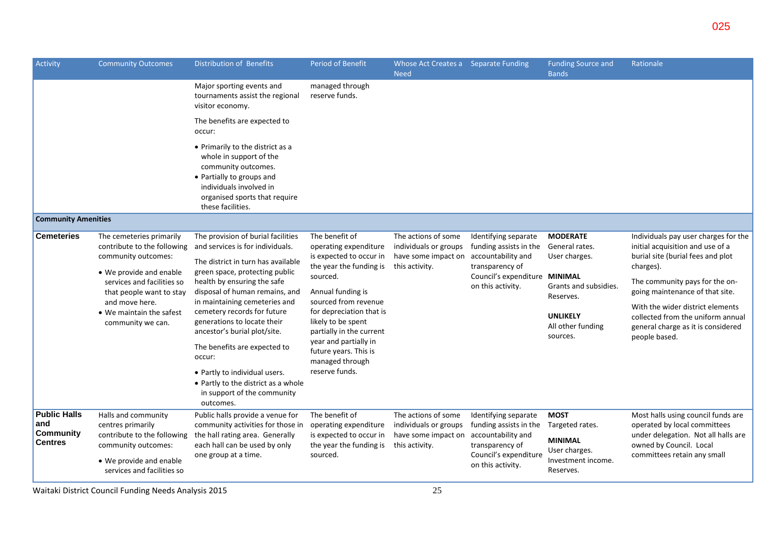| Activity                                                  | <b>Community Outcomes</b>                                                                                                                                                                                                              | Distribution of Benefits                                                                                                                                                                                                                                                                                                                                                                                                                                                                                     | <b>Period of Benefit</b>                                                                                                                                                                                                                                                                                                    | Whose Act Creates a Separate Funding<br><b>Need</b>                                   |                                                                                                                                               | <b>Funding Source and</b><br><b>Bands</b>                                                                                                    | Rationale                                                                                                                                                                                                                                                                                                                       |
|-----------------------------------------------------------|----------------------------------------------------------------------------------------------------------------------------------------------------------------------------------------------------------------------------------------|--------------------------------------------------------------------------------------------------------------------------------------------------------------------------------------------------------------------------------------------------------------------------------------------------------------------------------------------------------------------------------------------------------------------------------------------------------------------------------------------------------------|-----------------------------------------------------------------------------------------------------------------------------------------------------------------------------------------------------------------------------------------------------------------------------------------------------------------------------|---------------------------------------------------------------------------------------|-----------------------------------------------------------------------------------------------------------------------------------------------|----------------------------------------------------------------------------------------------------------------------------------------------|---------------------------------------------------------------------------------------------------------------------------------------------------------------------------------------------------------------------------------------------------------------------------------------------------------------------------------|
|                                                           |                                                                                                                                                                                                                                        | Major sporting events and<br>tournaments assist the regional<br>visitor economy.                                                                                                                                                                                                                                                                                                                                                                                                                             | managed through<br>reserve funds.                                                                                                                                                                                                                                                                                           |                                                                                       |                                                                                                                                               |                                                                                                                                              |                                                                                                                                                                                                                                                                                                                                 |
|                                                           |                                                                                                                                                                                                                                        | The benefits are expected to<br>occur:                                                                                                                                                                                                                                                                                                                                                                                                                                                                       |                                                                                                                                                                                                                                                                                                                             |                                                                                       |                                                                                                                                               |                                                                                                                                              |                                                                                                                                                                                                                                                                                                                                 |
|                                                           |                                                                                                                                                                                                                                        | • Primarily to the district as a<br>whole in support of the<br>community outcomes.<br>• Partially to groups and<br>individuals involved in<br>organised sports that require<br>these facilities.                                                                                                                                                                                                                                                                                                             |                                                                                                                                                                                                                                                                                                                             |                                                                                       |                                                                                                                                               |                                                                                                                                              |                                                                                                                                                                                                                                                                                                                                 |
| <b>Community Amenities</b>                                |                                                                                                                                                                                                                                        |                                                                                                                                                                                                                                                                                                                                                                                                                                                                                                              |                                                                                                                                                                                                                                                                                                                             |                                                                                       |                                                                                                                                               |                                                                                                                                              |                                                                                                                                                                                                                                                                                                                                 |
| <b>Cemeteries</b>                                         | The cemeteries primarily<br>contribute to the following<br>community outcomes:<br>• We provide and enable<br>services and facilities so<br>that people want to stay<br>and move here.<br>• We maintain the safest<br>community we can. | The provision of burial facilities<br>and services is for individuals.<br>The district in turn has available<br>green space, protecting public<br>health by ensuring the safe<br>disposal of human remains, and<br>in maintaining cemeteries and<br>cemetery records for future<br>generations to locate their<br>ancestor's burial plot/site.<br>The benefits are expected to<br>occur:<br>• Partly to individual users.<br>• Partly to the district as a whole<br>in support of the community<br>outcomes. | The benefit of<br>operating expenditure<br>is expected to occur in<br>the year the funding is<br>sourced.<br>Annual funding is<br>sourced from revenue<br>for depreciation that is<br>likely to be spent<br>partially in the current<br>year and partially in<br>future years. This is<br>managed through<br>reserve funds. | The actions of some<br>individuals or groups<br>have some impact on<br>this activity. | Identifying separate<br>funding assists in the<br>accountability and<br>transparency of<br>Council's expenditure MINIMAL<br>on this activity. | <b>MODERATE</b><br>General rates.<br>User charges.<br>Grants and subsidies.<br>Reserves.<br><b>UNLIKELY</b><br>All other funding<br>sources. | Individuals pay user charges for the<br>initial acquisition and use of a<br>burial site (burial fees and plot<br>charges).<br>The community pays for the on-<br>going maintenance of that site.<br>With the wider district elements<br>collected from the uniform annual<br>general charge as it is considered<br>people based. |
| <b>Public Halls</b><br>and<br>Community<br><b>Centres</b> | Halls and community<br>centres primarily<br>contribute to the following<br>community outcomes:<br>• We provide and enable<br>services and facilities so                                                                                | Public halls provide a venue for<br>community activities for those in<br>the hall rating area. Generally<br>each hall can be used by only<br>one group at a time.                                                                                                                                                                                                                                                                                                                                            | The benefit of<br>operating expenditure<br>is expected to occur in<br>the year the funding is<br>sourced.                                                                                                                                                                                                                   | The actions of some<br>individuals or groups<br>have some impact on<br>this activity. | Identifying separate<br>funding assists in the<br>accountability and<br>transparency of<br>Council's expenditure<br>on this activity.         | <b>MOST</b><br>Targeted rates.<br><b>MINIMAL</b><br>User charges.<br>Investment income.<br>Reserves.                                         | Most halls using council funds are<br>operated by local committees<br>under delegation. Not all halls are<br>owned by Council. Local<br>committees retain any small                                                                                                                                                             |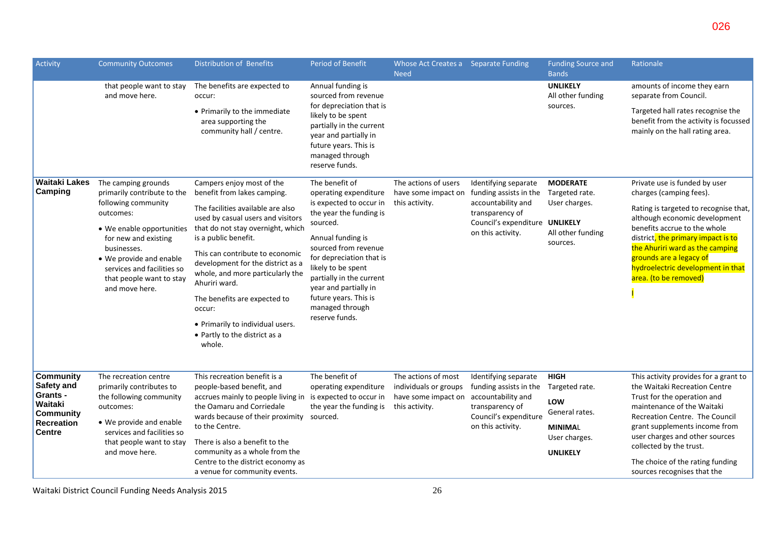| Activity                                                                                                        | <b>Community Outcomes</b>                                                                                                                                                                                                                                         | Distribution of Benefits                                                                                                                                                                                                                                                                                                                                                                                                                              | Period of Benefit                                                                                                                                                                                                                                                                                                           | Whose Act Creates a Separate Funding<br><b>Need</b>                                   |                                                                                                                                                | <b>Funding Source and</b><br><b>Bands</b>                                                                    | Rationale                                                                                                                                                                                                                                                                                                                              |
|-----------------------------------------------------------------------------------------------------------------|-------------------------------------------------------------------------------------------------------------------------------------------------------------------------------------------------------------------------------------------------------------------|-------------------------------------------------------------------------------------------------------------------------------------------------------------------------------------------------------------------------------------------------------------------------------------------------------------------------------------------------------------------------------------------------------------------------------------------------------|-----------------------------------------------------------------------------------------------------------------------------------------------------------------------------------------------------------------------------------------------------------------------------------------------------------------------------|---------------------------------------------------------------------------------------|------------------------------------------------------------------------------------------------------------------------------------------------|--------------------------------------------------------------------------------------------------------------|----------------------------------------------------------------------------------------------------------------------------------------------------------------------------------------------------------------------------------------------------------------------------------------------------------------------------------------|
|                                                                                                                 | that people want to stay<br>and move here.                                                                                                                                                                                                                        | The benefits are expected to<br>occur:<br>• Primarily to the immediate<br>area supporting the<br>community hall / centre.                                                                                                                                                                                                                                                                                                                             | Annual funding is<br>sourced from revenue<br>for depreciation that is<br>likely to be spent<br>partially in the current<br>year and partially in<br>future years. This is<br>managed through<br>reserve funds.                                                                                                              |                                                                                       |                                                                                                                                                | <b>UNLIKELY</b><br>All other funding<br>sources.                                                             | amounts of income they earn<br>separate from Council.<br>Targeted hall rates recognise the<br>benefit from the activity is focussed<br>mainly on the hall rating area.                                                                                                                                                                 |
| <b>Waitaki Lakes</b><br>Camping                                                                                 | The camping grounds<br>primarily contribute to the<br>following community<br>outcomes:<br>• We enable opportunities<br>for new and existing<br>businesses.<br>• We provide and enable<br>services and facilities so<br>that people want to stay<br>and move here. | Campers enjoy most of the<br>benefit from lakes camping.<br>The facilities available are also<br>used by casual users and visitors<br>that do not stay overnight, which<br>is a public benefit.<br>This can contribute to economic<br>development for the district as a<br>whole, and more particularly the<br>Ahuriri ward.<br>The benefits are expected to<br>occur:<br>• Primarily to individual users.<br>• Partly to the district as a<br>whole. | The benefit of<br>operating expenditure<br>is expected to occur in<br>the year the funding is<br>sourced.<br>Annual funding is<br>sourced from revenue<br>for depreciation that is<br>likely to be spent<br>partially in the current<br>year and partially in<br>future years. This is<br>managed through<br>reserve funds. | The actions of users<br>have some impact on<br>this activity.                         | Identifying separate<br>funding assists in the<br>accountability and<br>transparency of<br>Council's expenditure UNLIKELY<br>on this activity. | <b>MODERATE</b><br>Targeted rate.<br>User charges.<br>All other funding<br>sources.                          | Private use is funded by user<br>charges (camping fees).<br>Rating is targeted to recognise that,<br>although economic development<br>benefits accrue to the whole<br>district, the primary impact is to<br>the Ahuriri ward as the camping<br>grounds are a legacy of<br>hydroelectric development in that<br>area. (to be removed)   |
| <b>Community</b><br><b>Safety and</b><br>Grants -<br>Waitaki<br><b>Community</b><br>Recreation<br><b>Centre</b> | The recreation centre<br>primarily contributes to<br>the following community<br>outcomes:<br>• We provide and enable<br>services and facilities so<br>that people want to stay<br>and move here.                                                                  | This recreation benefit is a<br>people-based benefit, and<br>accrues mainly to people living in<br>the Oamaru and Corriedale<br>wards because of their proximity<br>to the Centre.<br>There is also a benefit to the<br>community as a whole from the<br>Centre to the district economy as<br>a venue for community events.                                                                                                                           | The benefit of<br>operating expenditure<br>is expected to occur in<br>the year the funding is<br>sourced.                                                                                                                                                                                                                   | The actions of most<br>individuals or groups<br>have some impact on<br>this activity. | Identifying separate<br>funding assists in the<br>accountability and<br>transparency of<br>Council's expenditure<br>on this activity.          | <b>HIGH</b><br>Targeted rate.<br>LOW<br>General rates.<br><b>MINIMAL</b><br>User charges.<br><b>UNLIKELY</b> | This activity provides for a grant to<br>the Waitaki Recreation Centre<br>Trust for the operation and<br>maintenance of the Waitaki<br>Recreation Centre. The Council<br>grant supplements income from<br>user charges and other sources<br>collected by the trust.<br>The choice of the rating funding<br>sources recognises that the |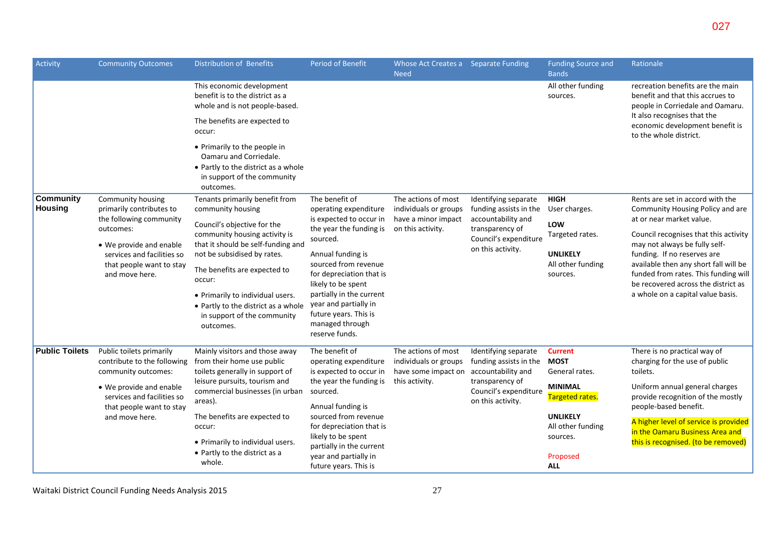| Activity                           | <b>Community Outcomes</b>                                                                           | <b>Distribution of Benefits</b>                                                                                                           | <b>Period of Benefit</b>                                                                                                                                                                                       | Whose Act Creates a Separate Funding<br><b>Need</b> |                                                                      | <b>Funding Source and</b><br><b>Bands</b>        | Rationale                                                                                                            |
|------------------------------------|-----------------------------------------------------------------------------------------------------|-------------------------------------------------------------------------------------------------------------------------------------------|----------------------------------------------------------------------------------------------------------------------------------------------------------------------------------------------------------------|-----------------------------------------------------|----------------------------------------------------------------------|--------------------------------------------------|----------------------------------------------------------------------------------------------------------------------|
|                                    |                                                                                                     | This economic development<br>benefit is to the district as a<br>whole and is not people-based.                                            |                                                                                                                                                                                                                |                                                     |                                                                      | All other funding<br>sources.                    | recreation benefits are the main<br>benefit and that this accrues to<br>people in Corriedale and Oamaru.             |
|                                    |                                                                                                     | The benefits are expected to<br>occur:                                                                                                    |                                                                                                                                                                                                                |                                                     |                                                                      |                                                  | It also recognises that the<br>economic development benefit is<br>to the whole district.                             |
|                                    |                                                                                                     | • Primarily to the people in<br>Oamaru and Corriedale.<br>• Partly to the district as a whole<br>in support of the community<br>outcomes. |                                                                                                                                                                                                                |                                                     |                                                                      |                                                  |                                                                                                                      |
| <b>Community</b><br><b>Housing</b> | Community housing<br>primarily contributes to                                                       | Tenants primarily benefit from<br>community housing                                                                                       | The benefit of                                                                                                                                                                                                 | The actions of most<br>individuals or groups        | Identifying separate<br>funding assists in the<br>accountability and | <b>HIGH</b><br>User charges.                     | Rents are set in accord with the<br>Community Housing Policy and are<br>at or near market value.                     |
|                                    | the following community                                                                             |                                                                                                                                           | operating expenditure<br>is expected to occur in                                                                                                                                                               | have a minor impact                                 |                                                                      | LOW                                              |                                                                                                                      |
|                                    | outcomes:                                                                                           | Council's objective for the<br>community housing activity is                                                                              | the year the funding is<br>sourced.                                                                                                                                                                            | on this activity.                                   | transparency of<br>Council's expenditure                             | Targeted rates.                                  | Council recognises that this activity                                                                                |
|                                    | • We provide and enable<br>services and facilities so<br>that people want to stay<br>and move here. | that it should be self-funding and<br>not be subsidised by rates.                                                                         | Annual funding is<br>sourced from revenue<br>for depreciation that is<br>likely to be spent<br>partially in the current<br>year and partially in<br>future years. This is<br>managed through<br>reserve funds. |                                                     | on this activity.                                                    | <b>UNLIKELY</b>                                  | may not always be fully self-<br>funding. If no reserves are                                                         |
|                                    |                                                                                                     | The benefits are expected to<br>occur:                                                                                                    |                                                                                                                                                                                                                |                                                     |                                                                      | All other funding<br>sources.                    | available then any short fall will be<br>funded from rates. This funding will<br>be recovered across the district as |
|                                    |                                                                                                     | • Primarily to individual users.<br>• Partly to the district as a whole<br>in support of the community<br>outcomes.                       |                                                                                                                                                                                                                |                                                     |                                                                      |                                                  | a whole on a capital value basis.                                                                                    |
| <b>Public Toilets</b>              | Public toilets primarily                                                                            | Mainly visitors and those away                                                                                                            | The benefit of                                                                                                                                                                                                 | The actions of most                                 | Identifying separate                                                 | <b>Current</b>                                   | There is no practical way of                                                                                         |
|                                    | contribute to the following<br>community outcomes:                                                  | from their home use public<br>toilets generally in support of                                                                             | operating expenditure<br>is expected to occur in                                                                                                                                                               | individuals or groups<br>have some impact on        | funding assists in the<br>accountability and                         | <b>MOST</b><br>General rates.                    | charging for the use of public<br>toilets.                                                                           |
|                                    | • We provide and enable<br>services and facilities so<br>that people want to stay                   | leisure pursuits, tourism and<br>commercial businesses (in urban<br>areas).                                                               | the year the funding is<br>sourced.<br>Annual funding is<br>sourced from revenue<br>for depreciation that is<br>likely to be spent                                                                             | this activity.                                      | transparency of<br>Council's expenditure<br>on this activity.        | <b>MINIMAL</b><br>Targeted rates.                | Uniform annual general charges<br>provide recognition of the mostly<br>people-based benefit.                         |
|                                    | and move here.                                                                                      | The benefits are expected to<br>occur:<br>• Primarily to individual users.                                                                |                                                                                                                                                                                                                |                                                     |                                                                      | <b>UNLIKELY</b><br>All other funding<br>sources. | A higher level of service is provided<br>in the Oamaru Business Area and<br>this is recognised. (to be removed)      |
|                                    |                                                                                                     | • Partly to the district as a<br>whole.                                                                                                   | partially in the current<br>year and partially in<br>future years. This is                                                                                                                                     |                                                     |                                                                      | Proposed<br><b>ALL</b>                           |                                                                                                                      |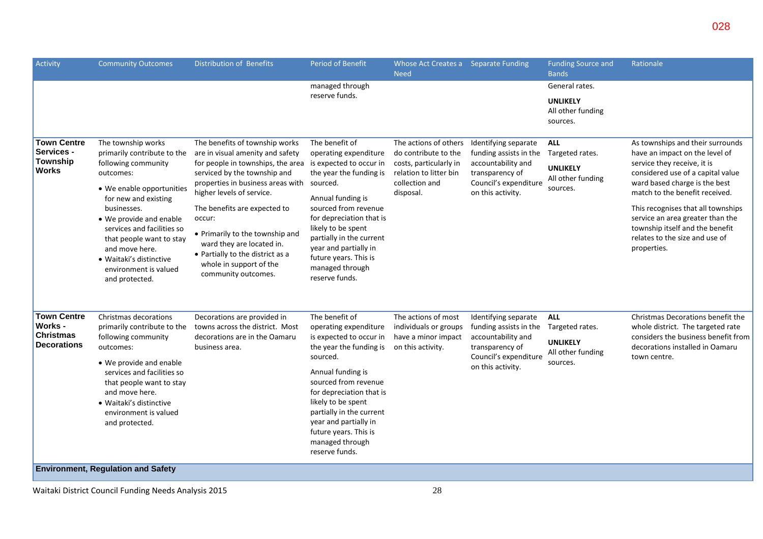| Activity                                                                | <b>Community Outcomes</b>                                                                                                                                                                                                                                                                                                              | <b>Distribution of Benefits</b>                                                                                                                                                                                                                                                                                                                                                                                                            | Period of Benefit                                                                                                                                                                                                                                                                                                           | Whose Act Creates a Separate Funding<br><b>Need</b>                                                                              |                                                                                                                                       | <b>Funding Source and</b><br><b>Bands</b>                                         | Rationale                                                                                                                                                                                                                                                                                                                                                               |
|-------------------------------------------------------------------------|----------------------------------------------------------------------------------------------------------------------------------------------------------------------------------------------------------------------------------------------------------------------------------------------------------------------------------------|--------------------------------------------------------------------------------------------------------------------------------------------------------------------------------------------------------------------------------------------------------------------------------------------------------------------------------------------------------------------------------------------------------------------------------------------|-----------------------------------------------------------------------------------------------------------------------------------------------------------------------------------------------------------------------------------------------------------------------------------------------------------------------------|----------------------------------------------------------------------------------------------------------------------------------|---------------------------------------------------------------------------------------------------------------------------------------|-----------------------------------------------------------------------------------|-------------------------------------------------------------------------------------------------------------------------------------------------------------------------------------------------------------------------------------------------------------------------------------------------------------------------------------------------------------------------|
|                                                                         |                                                                                                                                                                                                                                                                                                                                        |                                                                                                                                                                                                                                                                                                                                                                                                                                            | managed through<br>reserve funds.                                                                                                                                                                                                                                                                                           |                                                                                                                                  |                                                                                                                                       | General rates.<br><b>UNLIKELY</b><br>All other funding<br>sources.                |                                                                                                                                                                                                                                                                                                                                                                         |
| <b>Town Centre</b><br>Services -<br>Township<br><b>Works</b>            | The township works<br>primarily contribute to the<br>following community<br>outcomes:<br>• We enable opportunities<br>for new and existing<br>businesses.<br>• We provide and enable<br>services and facilities so<br>that people want to stay<br>and move here.<br>· Waitaki's distinctive<br>environment is valued<br>and protected. | The benefits of township works<br>are in visual amenity and safety<br>for people in townships, the area is expected to occur in<br>serviced by the township and<br>properties in business areas with sourced.<br>higher levels of service.<br>The benefits are expected to<br>occur:<br>• Primarily to the township and<br>ward they are located in.<br>• Partially to the district as a<br>whole in support of the<br>community outcomes. | The benefit of<br>operating expenditure<br>the year the funding is<br>Annual funding is<br>sourced from revenue<br>for depreciation that is<br>likely to be spent<br>partially in the current<br>year and partially in<br>future years. This is<br>managed through<br>reserve funds.                                        | The actions of others<br>do contribute to the<br>costs, particularly in<br>relation to litter bin<br>collection and<br>disposal. | Identifying separate<br>funding assists in the<br>accountability and<br>transparency of<br>Council's expenditure<br>on this activity. | <b>ALL</b><br>Targeted rates.<br><b>UNLIKELY</b><br>All other funding<br>sources. | As townships and their surrounds<br>have an impact on the level of<br>service they receive, it is<br>considered use of a capital value<br>ward based charge is the best<br>match to the benefit received.<br>This recognises that all townships<br>service an area greater than the<br>township itself and the benefit<br>relates to the size and use of<br>properties. |
| <b>Town Centre</b><br>Works -<br><b>Christmas</b><br><b>Decorations</b> | Christmas decorations<br>primarily contribute to the<br>following community<br>outcomes:<br>• We provide and enable<br>services and facilities so<br>that people want to stay<br>and move here.<br>• Waitaki's distinctive<br>environment is valued<br>and protected.                                                                  | Decorations are provided in<br>towns across the district. Most<br>decorations are in the Oamaru<br>business area.                                                                                                                                                                                                                                                                                                                          | The benefit of<br>operating expenditure<br>is expected to occur in<br>the year the funding is<br>sourced.<br>Annual funding is<br>sourced from revenue<br>for depreciation that is<br>likely to be spent<br>partially in the current<br>year and partially in<br>future years. This is<br>managed through<br>reserve funds. | The actions of most<br>individuals or groups<br>have a minor impact<br>on this activity.                                         | Identifying separate<br>funding assists in the<br>accountability and<br>transparency of<br>Council's expenditure<br>on this activity. | <b>ALL</b><br>Targeted rates.<br><b>UNLIKELY</b><br>All other funding<br>sources. | Christmas Decorations benefit the<br>whole district. The targeted rate<br>considers the business benefit from<br>decorations installed in Oamaru<br>town centre.                                                                                                                                                                                                        |
|                                                                         | <b>Environment, Regulation and Safety</b>                                                                                                                                                                                                                                                                                              |                                                                                                                                                                                                                                                                                                                                                                                                                                            |                                                                                                                                                                                                                                                                                                                             |                                                                                                                                  |                                                                                                                                       |                                                                                   |                                                                                                                                                                                                                                                                                                                                                                         |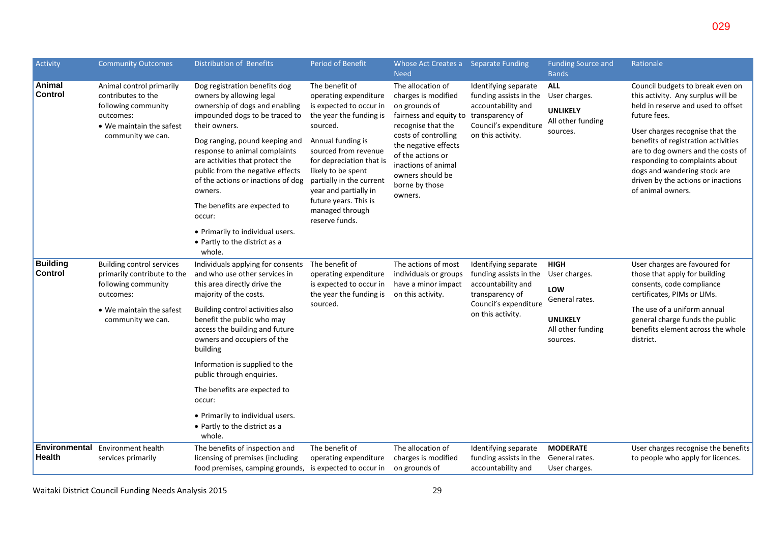| <b>Period of Benefit</b>                                                                                                                                                                                                                                                                                                    | Whose Act Creates a<br><b>Need</b>                                                                                                                                                                                                                     | <b>Separate Funding</b>                                                                                                               | <b>Funding Source and</b><br><b>Bands</b>                                       | Rationale                                                                                                                                                                                                                                                                                                                                                                 |
|-----------------------------------------------------------------------------------------------------------------------------------------------------------------------------------------------------------------------------------------------------------------------------------------------------------------------------|--------------------------------------------------------------------------------------------------------------------------------------------------------------------------------------------------------------------------------------------------------|---------------------------------------------------------------------------------------------------------------------------------------|---------------------------------------------------------------------------------|---------------------------------------------------------------------------------------------------------------------------------------------------------------------------------------------------------------------------------------------------------------------------------------------------------------------------------------------------------------------------|
| The benefit of<br>operating expenditure<br>is expected to occur in<br>the year the funding is<br>sourced.<br>Annual funding is<br>sourced from revenue<br>for depreciation that is<br>likely to be spent<br>partially in the current<br>year and partially in<br>future years. This is<br>managed through<br>reserve funds. | The allocation of<br>charges is modified<br>on grounds of<br>fairness and equity to<br>recognise that the<br>costs of controlling<br>the negative effects<br>of the actions or<br>inactions of animal<br>owners should be<br>borne by those<br>owners. | Identifying separate<br>funding assists in the<br>accountability and<br>transparency of<br>Council's expenditure<br>on this activity. | <b>ALL</b><br>User charges.<br><b>UNLIKELY</b><br>All other funding<br>sources. | Council budgets to break even on<br>this activity. Any surplus will be<br>held in reserve and used to offset<br>future fees.<br>User charges recognise that the<br>benefits of registration activities<br>are to dog owners and the costs of<br>responding to complaints about<br>dogs and wandering stock are<br>driven by the actions or inactions<br>of animal owners. |

029

|                                   |                                                                                                                                                      | The benefits are expected to<br>occur:                                                                                                                                                                                                                                                                                                                                                                                                                    | future years. This is<br>managed through<br>reserve funds.                                                | owners.                                                                                  |                                                                                                                                       |                                                                                                           |                                                                                                                                                                                                                                                |
|-----------------------------------|------------------------------------------------------------------------------------------------------------------------------------------------------|-----------------------------------------------------------------------------------------------------------------------------------------------------------------------------------------------------------------------------------------------------------------------------------------------------------------------------------------------------------------------------------------------------------------------------------------------------------|-----------------------------------------------------------------------------------------------------------|------------------------------------------------------------------------------------------|---------------------------------------------------------------------------------------------------------------------------------------|-----------------------------------------------------------------------------------------------------------|------------------------------------------------------------------------------------------------------------------------------------------------------------------------------------------------------------------------------------------------|
|                                   |                                                                                                                                                      | • Primarily to individual users.<br>• Partly to the district as a<br>whole.                                                                                                                                                                                                                                                                                                                                                                               |                                                                                                           |                                                                                          |                                                                                                                                       |                                                                                                           |                                                                                                                                                                                                                                                |
| <b>Building</b><br><b>Control</b> | <b>Building control services</b><br>primarily contribute to the<br>following community<br>outcomes:<br>• We maintain the safest<br>community we can. | Individuals applying for consents<br>and who use other services in<br>this area directly drive the<br>majority of the costs.<br>Building control activities also<br>benefit the public who may<br>access the building and future<br>owners and occupiers of the<br>building<br>Information is supplied to the<br>public through enquiries.<br>The benefits are expected to<br>occur:<br>• Primarily to individual users.<br>• Partly to the district as a | The benefit of<br>operating expenditure<br>is expected to occur in<br>the year the funding is<br>sourced. | The actions of most<br>individuals or groups<br>have a minor impact<br>on this activity. | Identifying separate<br>funding assists in the<br>accountability and<br>transparency of<br>Council's expenditure<br>on this activity. | <b>HIGH</b><br>User charges.<br>LOW<br>General rates.<br><b>UNLIKELY</b><br>All other funding<br>sources. | User charges are favoured for<br>those that apply for building<br>consents, code compliance<br>certificates, PIMs or LIMs.<br>The use of a uniform annual<br>general charge funds the public<br>benefits element across the whole<br>district. |
|                                   |                                                                                                                                                      | whole.                                                                                                                                                                                                                                                                                                                                                                                                                                                    |                                                                                                           |                                                                                          |                                                                                                                                       |                                                                                                           |                                                                                                                                                                                                                                                |
| Environmenta<br><b>Health</b>     | <b>Environment health</b><br>services primarily                                                                                                      | The benefits of inspection and<br>licensing of premises (including<br>food premises, camping grounds,                                                                                                                                                                                                                                                                                                                                                     | The benefit of<br>operating expenditure<br>is expected to occur in                                        | The allocation of<br>charges is modified<br>on grounds of                                | Identifying separate<br>funding assists in the<br>accountability and                                                                  | <b>MODERATE</b><br>General rates.<br>User charges.                                                        | User charges recognise the benefits<br>to people who apply for licences.                                                                                                                                                                       |

Activity Community Outcomes Distribution of Benefits

Dog registration benefits dog owners by allowing legal ownership of dogs and enabling impounded dogs to be traced to

Dog ranging, pound keeping and response to animal complaints are activities that protect the public from the negative effects of the actions or inactions of dog

their owners.

owners.

Animal control primarily contributes to the following community

 We maintain the safest community we can.

outcomes:

**Animal Control**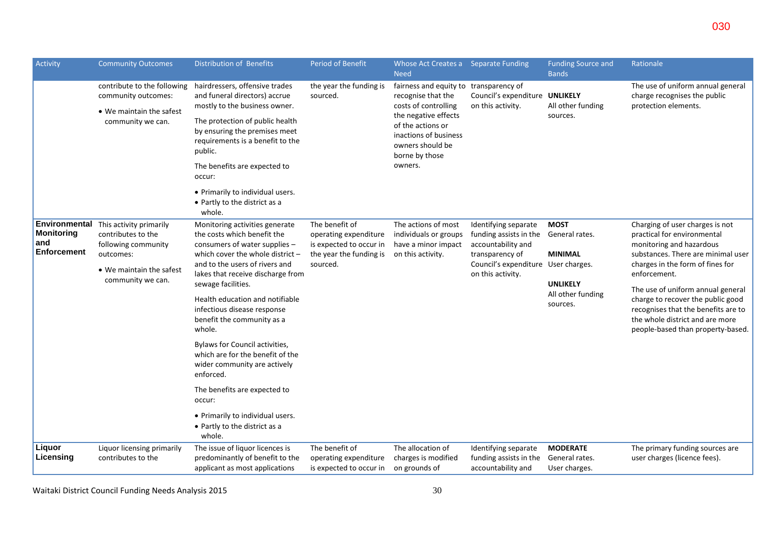| Activity                                                 | <b>Community Outcomes</b>                                                                  | <b>Distribution of Benefits</b>                                                                                                      | <b>Period of Benefit</b>                                                                      | Whose Act Creates a Separate Funding<br><b>Need</b>                                                                                                                                                                                    |                                                                      | <b>Funding Source and</b><br><b>Bands</b>                                                                                        | Rationale                                                                                                                                                                             |
|----------------------------------------------------------|--------------------------------------------------------------------------------------------|--------------------------------------------------------------------------------------------------------------------------------------|-----------------------------------------------------------------------------------------------|----------------------------------------------------------------------------------------------------------------------------------------------------------------------------------------------------------------------------------------|----------------------------------------------------------------------|----------------------------------------------------------------------------------------------------------------------------------|---------------------------------------------------------------------------------------------------------------------------------------------------------------------------------------|
|                                                          | contribute to the following<br>community outcomes:<br>• We maintain the safest             | hairdressers, offensive trades<br>and funeral directors) accrue<br>mostly to the business owner.                                     | the year the funding is<br>sourced.                                                           | fairness and equity to transparency of<br>recognise that the<br>costs of controlling                                                                                                                                                   | Council's expenditure UNLIKELY<br>on this activity.                  | All other funding                                                                                                                | The use of uniform annual general<br>charge recognises the public<br>protection elements.                                                                                             |
|                                                          | community we can.                                                                          | The protection of public health<br>by ensuring the premises meet<br>requirements is a benefit to the<br>public.                      |                                                                                               | the negative effects<br>of the actions or<br>inactions of business<br>owners should be<br>borne by those                                                                                                                               |                                                                      | sources.                                                                                                                         |                                                                                                                                                                                       |
|                                                          |                                                                                            | The benefits are expected to<br>occur:                                                                                               |                                                                                               | owners.                                                                                                                                                                                                                                |                                                                      |                                                                                                                                  |                                                                                                                                                                                       |
|                                                          |                                                                                            | • Primarily to individual users.<br>• Partly to the district as a<br>whole.                                                          |                                                                                               |                                                                                                                                                                                                                                        |                                                                      |                                                                                                                                  |                                                                                                                                                                                       |
| Environmental<br><b>Monitoring</b><br>and<br>Enforcement | This activity primarily<br>contributes to the<br>following community<br>outcomes:          | Monitoring activities generate<br>the costs which benefit the<br>consumers of water supplies -<br>which cover the whole district $-$ | The benefit of<br>operating expenditure<br>is expected to occur in<br>the year the funding is | The actions of most<br>Identifying separate<br><b>MOST</b><br>individuals or groups<br>funding assists in the<br>General rates.<br>accountability and<br>have a minor impact<br>transparency of<br>on this activity.<br><b>MINIMAL</b> |                                                                      | Charging of user charges is not<br>practical for environmental<br>monitoring and hazardous<br>substances. There are minimal user |                                                                                                                                                                                       |
|                                                          | • We maintain the safest<br>community we can.<br>sewage facilities.<br>whole.<br>enforced. | and to the users of rivers and<br>lakes that receive discharge from                                                                  | sourced.                                                                                      |                                                                                                                                                                                                                                        | Council's expenditure User charges.<br>on this activity.             | <b>UNLIKELY</b>                                                                                                                  | charges in the form of fines for<br>enforcement.                                                                                                                                      |
|                                                          |                                                                                            | Health education and notifiable<br>infectious disease response<br>benefit the community as a                                         |                                                                                               |                                                                                                                                                                                                                                        |                                                                      | All other funding<br>sources.                                                                                                    | The use of uniform annual general<br>charge to recover the public good<br>recognises that the benefits are to<br>the whole district and are more<br>people-based than property-based. |
|                                                          |                                                                                            | Bylaws for Council activities,<br>which are for the benefit of the<br>wider community are actively                                   |                                                                                               |                                                                                                                                                                                                                                        |                                                                      |                                                                                                                                  |                                                                                                                                                                                       |
|                                                          |                                                                                            | The benefits are expected to<br>occur:                                                                                               |                                                                                               |                                                                                                                                                                                                                                        |                                                                      |                                                                                                                                  |                                                                                                                                                                                       |
|                                                          |                                                                                            | • Primarily to individual users.<br>• Partly to the district as a<br>whole.                                                          |                                                                                               |                                                                                                                                                                                                                                        |                                                                      |                                                                                                                                  |                                                                                                                                                                                       |
| Liquor<br>Licensing                                      | Liquor licensing primarily<br>contributes to the                                           | The issue of liquor licences is<br>predominantly of benefit to the<br>applicant as most applications                                 | The benefit of<br>operating expenditure<br>is expected to occur in                            | The allocation of<br>charges is modified<br>on grounds of                                                                                                                                                                              | Identifying separate<br>funding assists in the<br>accountability and | <b>MODERATE</b><br>General rates.<br>User charges.                                                                               | The primary funding sources are<br>user charges (licence fees).                                                                                                                       |

Waitaki District Council Funding Needs Analysis 2015 30 and the state of the Samuel Council Funding Needs Analysis 2015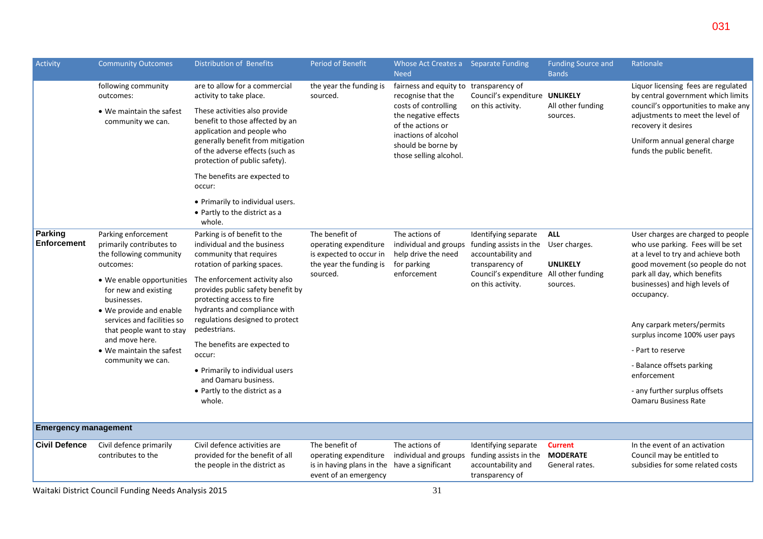| Activity                    | <b>Community Outcomes</b>                                                                                                                                                                                                                                                                                           | <b>Distribution of Benefits</b>                                                                                                                                                                                                                                                                                                                                                                                                                                       | <b>Period of Benefit</b>                                                                                         | Whose Act Creates a Separate Funding<br><b>Need</b>                                                                                                                                                       |                                                                                                                               | <b>Funding Source and</b><br><b>Bands</b>                  | Rationale                                                                                                                                                                                                                                                                                                                                                                                                                        |
|-----------------------------|---------------------------------------------------------------------------------------------------------------------------------------------------------------------------------------------------------------------------------------------------------------------------------------------------------------------|-----------------------------------------------------------------------------------------------------------------------------------------------------------------------------------------------------------------------------------------------------------------------------------------------------------------------------------------------------------------------------------------------------------------------------------------------------------------------|------------------------------------------------------------------------------------------------------------------|-----------------------------------------------------------------------------------------------------------------------------------------------------------------------------------------------------------|-------------------------------------------------------------------------------------------------------------------------------|------------------------------------------------------------|----------------------------------------------------------------------------------------------------------------------------------------------------------------------------------------------------------------------------------------------------------------------------------------------------------------------------------------------------------------------------------------------------------------------------------|
|                             | following community<br>outcomes:<br>• We maintain the safest<br>community we can.                                                                                                                                                                                                                                   | are to allow for a commercial<br>activity to take place.<br>These activities also provide<br>benefit to those affected by an<br>application and people who<br>generally benefit from mitigation<br>of the adverse effects (such as<br>protection of public safety).<br>The benefits are expected to<br>occur:<br>• Primarily to individual users.<br>• Partly to the district as a                                                                                    | the year the funding is<br>sourced.                                                                              | fairness and equity to transparency of<br>recognise that the<br>costs of controlling<br>the negative effects<br>of the actions or<br>inactions of alcohol<br>should be borne by<br>those selling alcohol. | Council's expenditure UNLIKELY<br>on this activity.                                                                           | All other funding<br>sources.                              | Liquor licensing fees are regulated<br>by central government which limits<br>council's opportunities to make any<br>adjustments to meet the level of<br>recovery it desires<br>Uniform annual general charge<br>funds the public benefit.                                                                                                                                                                                        |
| Parking<br>Enforcement      | Parking enforcement<br>primarily contributes to<br>the following community<br>outcomes:<br>• We enable opportunities<br>for new and existing<br>businesses.<br>• We provide and enable<br>services and facilities so<br>that people want to stay<br>and move here.<br>• We maintain the safest<br>community we can. | whole.<br>Parking is of benefit to the<br>individual and the business<br>community that requires<br>rotation of parking spaces.<br>The enforcement activity also<br>provides public safety benefit by<br>protecting access to fire<br>hydrants and compliance with<br>regulations designed to protect<br>pedestrians.<br>The benefits are expected to<br>occur:<br>• Primarily to individual users<br>and Oamaru business.<br>• Partly to the district as a<br>whole. | The benefit of<br>operating expenditure<br>is expected to occur in<br>the year the funding is<br>sourced.        | The actions of<br>individual and groups funding assists in the<br>help drive the need<br>for parking<br>enforcement                                                                                       | Identifying separate<br>accountability and<br>transparency of<br>Council's expenditure All other funding<br>on this activity. | <b>ALL</b><br>User charges.<br><b>UNLIKELY</b><br>sources. | User charges are charged to people<br>who use parking. Fees will be set<br>at a level to try and achieve both<br>good movement (so people do not<br>park all day, which benefits<br>businesses) and high levels of<br>occupancy.<br>Any carpark meters/permits<br>surplus income 100% user pays<br>- Part to reserve<br>- Balance offsets parking<br>enforcement<br>- any further surplus offsets<br><b>Oamaru Business Rate</b> |
| <b>Emergency management</b> |                                                                                                                                                                                                                                                                                                                     |                                                                                                                                                                                                                                                                                                                                                                                                                                                                       |                                                                                                                  |                                                                                                                                                                                                           |                                                                                                                               |                                                            |                                                                                                                                                                                                                                                                                                                                                                                                                                  |
| <b>Civil Defence</b>        | Civil defence primarily<br>contributes to the                                                                                                                                                                                                                                                                       | Civil defence activities are<br>provided for the benefit of all<br>the people in the district as                                                                                                                                                                                                                                                                                                                                                                      | The benefit of<br>operating expenditure<br>is in having plans in the have a significant<br>event of an emergency | The actions of<br>individual and groups funding assists in the                                                                                                                                            | Identifying separate<br>accountability and<br>transparency of                                                                 | <b>Current</b><br><b>MODERATE</b><br>General rates.        | In the event of an activation<br>Council may be entitled to<br>subsidies for some related costs                                                                                                                                                                                                                                                                                                                                  |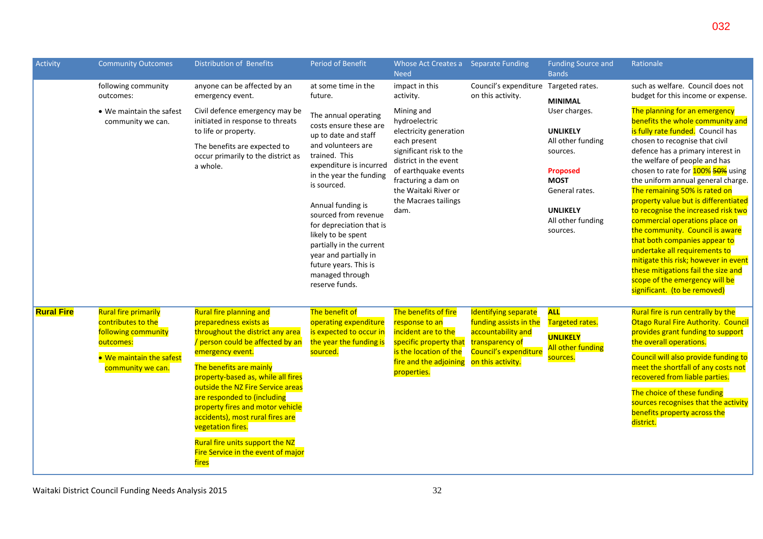| Activity          | <b>Community Outcomes</b>                                                                                                              | <b>Distribution of Benefits</b>                                                                                                                                                                                                                                                                                                                                                                                                                                          | Period of Benefit                                                                                                                                                                                                                                                                                                                                                                                                                      | Whose Act Creates a Separate Funding<br><b>Need</b>                                                                                                                                                                                                             |                                                                                                                                       | <b>Funding Source and</b><br><b>Bands</b>                                                                                                                                                                      | Rationale                                                                                                                                                                                                                                                                                                                                                                                                                                                                                                                                                                                                                                                                                                                                                                           |
|-------------------|----------------------------------------------------------------------------------------------------------------------------------------|--------------------------------------------------------------------------------------------------------------------------------------------------------------------------------------------------------------------------------------------------------------------------------------------------------------------------------------------------------------------------------------------------------------------------------------------------------------------------|----------------------------------------------------------------------------------------------------------------------------------------------------------------------------------------------------------------------------------------------------------------------------------------------------------------------------------------------------------------------------------------------------------------------------------------|-----------------------------------------------------------------------------------------------------------------------------------------------------------------------------------------------------------------------------------------------------------------|---------------------------------------------------------------------------------------------------------------------------------------|----------------------------------------------------------------------------------------------------------------------------------------------------------------------------------------------------------------|-------------------------------------------------------------------------------------------------------------------------------------------------------------------------------------------------------------------------------------------------------------------------------------------------------------------------------------------------------------------------------------------------------------------------------------------------------------------------------------------------------------------------------------------------------------------------------------------------------------------------------------------------------------------------------------------------------------------------------------------------------------------------------------|
|                   | following community<br>outcomes:<br>• We maintain the safest<br>community we can.                                                      | anyone can be affected by an<br>emergency event.<br>Civil defence emergency may be<br>initiated in response to threats<br>to life or property.<br>The benefits are expected to<br>occur primarily to the district as<br>a whole.                                                                                                                                                                                                                                         | at some time in the<br>future.<br>The annual operating<br>costs ensure these are<br>up to date and staff<br>and volunteers are<br>trained. This<br>expenditure is incurred<br>in the year the funding<br>is sourced.<br>Annual funding is<br>sourced from revenue<br>for depreciation that is<br>likely to be spent<br>partially in the current<br>year and partially in<br>future years. This is<br>managed through<br>reserve funds. | impact in this<br>activity.<br>Mining and<br>hydroelectric<br>electricity generation<br>each present<br>significant risk to the<br>district in the event<br>of earthquake events<br>fracturing a dam on<br>the Waitaki River or<br>the Macraes tailings<br>dam. | Council's expenditure<br>on this activity.                                                                                            | Targeted rates.<br><b>MINIMAL</b><br>User charges.<br><b>UNLIKELY</b><br>All other funding<br>sources.<br><b>Proposed</b><br><b>MOST</b><br>General rates.<br><b>UNLIKELY</b><br>All other funding<br>sources. | such as welfare. Council does not<br>budget for this income or expense.<br>The planning for an emergency<br>benefits the whole community and<br>is fully rate funded. Council has<br>chosen to recognise that civil<br>defence has a primary interest in<br>the welfare of people and has<br>chosen to rate for <b>100% 50%</b> using<br>the uniform annual general charge.<br>The remaining 50% is rated on<br>property value but is differentiated<br>to recognise the increased risk two<br>commercial operations place on<br>the community. Council is aware<br>that both companies appear to<br>undertake all requirements to<br>mitigate this risk; however in event<br>these mitigations fail the size and<br>scope of the emergency will be<br>significant. (to be removed) |
| <b>Rural Fire</b> | <b>Rural fire primarily</b><br>contributes to the<br>following community<br>outcomes:<br>• We maintain the safest<br>community we can. | <b>Rural fire planning and</b><br>preparedness exists as<br>throughout the district any area<br>/ person could be affected by an<br>emergency event.<br>The benefits are mainly<br>property-based as, while all fires<br>outside the NZ Fire Service areas<br>are responded to (including<br>property fires and motor vehicle<br>accidents), most rural fires are<br>vegetation fires.<br>Rural fire units support the NZ<br>Fire Service in the event of major<br>fires | The benefit of<br>operating expenditure<br>is expected to occur in<br>the year the funding is<br>sourced.                                                                                                                                                                                                                                                                                                                              | The benefits of fire<br>response to an<br>incident are to the<br>specific property that<br>is the location of the<br>fire and the adjoining<br>properties.                                                                                                      | Identifying separate<br>funding assists in the<br>accountability and<br>transparency of<br>Council's expenditure<br>on this activity. | <b>ALL</b><br>Targeted rates.<br><b>UNLIKELY</b><br><b>All other funding</b><br>sources.                                                                                                                       | Rural fire is run centrally by the<br>Otago Rural Fire Authority. Council<br>provides grant funding to support<br>the overall operations.<br>Council will also provide funding to<br>meet the shortfall of any costs not<br>recovered from liable parties.<br>The choice of these funding<br>sources recognises that the activity<br>benefits property across the<br>district.                                                                                                                                                                                                                                                                                                                                                                                                      |

032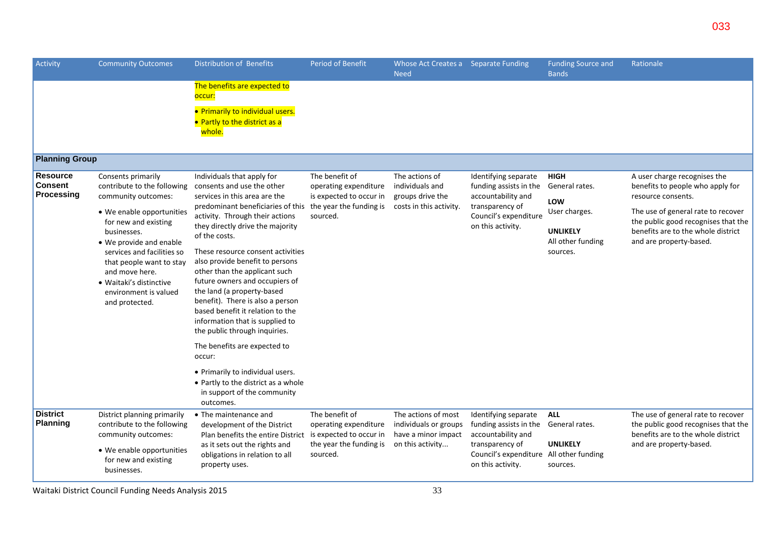| Activity                                 | <b>Community Outcomes</b>                                                                                                                                                                                                                                                                                                 | <b>Distribution of Benefits</b>                                                                                                                                                                                                                                                                                                                                                                                                                                                                                                                                                                                                                                                                              | Period of Benefit                                                                                         | Whose Act Creates a Separate Funding<br><b>Need</b>                                     |                                                                                                                                                                        | <b>Funding Source and</b><br><b>Bands</b>                                                                 | Rationale                                                                                                                                                                                                                            |
|------------------------------------------|---------------------------------------------------------------------------------------------------------------------------------------------------------------------------------------------------------------------------------------------------------------------------------------------------------------------------|--------------------------------------------------------------------------------------------------------------------------------------------------------------------------------------------------------------------------------------------------------------------------------------------------------------------------------------------------------------------------------------------------------------------------------------------------------------------------------------------------------------------------------------------------------------------------------------------------------------------------------------------------------------------------------------------------------------|-----------------------------------------------------------------------------------------------------------|-----------------------------------------------------------------------------------------|------------------------------------------------------------------------------------------------------------------------------------------------------------------------|-----------------------------------------------------------------------------------------------------------|--------------------------------------------------------------------------------------------------------------------------------------------------------------------------------------------------------------------------------------|
|                                          |                                                                                                                                                                                                                                                                                                                           | The benefits are expected to<br>occur:                                                                                                                                                                                                                                                                                                                                                                                                                                                                                                                                                                                                                                                                       |                                                                                                           |                                                                                         |                                                                                                                                                                        |                                                                                                           |                                                                                                                                                                                                                                      |
|                                          |                                                                                                                                                                                                                                                                                                                           | • Primarily to individual users.<br>• Partly to the district as a<br>whole.                                                                                                                                                                                                                                                                                                                                                                                                                                                                                                                                                                                                                                  |                                                                                                           |                                                                                         |                                                                                                                                                                        |                                                                                                           |                                                                                                                                                                                                                                      |
| <b>Planning Group</b>                    |                                                                                                                                                                                                                                                                                                                           |                                                                                                                                                                                                                                                                                                                                                                                                                                                                                                                                                                                                                                                                                                              |                                                                                                           |                                                                                         |                                                                                                                                                                        |                                                                                                           |                                                                                                                                                                                                                                      |
| <b>Resource</b><br>Consent<br>Processing | Consents primarily<br>contribute to the following<br>community outcomes:<br>• We enable opportunities<br>for new and existing<br>businesses.<br>• We provide and enable<br>services and facilities so<br>that people want to stay<br>and move here.<br>• Waitaki's distinctive<br>environment is valued<br>and protected. | Individuals that apply for<br>consents and use the other<br>services in this area are the<br>predominant beneficiaries of this<br>activity. Through their actions<br>they directly drive the majority<br>of the costs.<br>These resource consent activities<br>also provide benefit to persons<br>other than the applicant such<br>future owners and occupiers of<br>the land (a property-based<br>benefit). There is also a person<br>based benefit it relation to the<br>information that is supplied to<br>the public through inquiries.<br>The benefits are expected to<br>occur:<br>• Primarily to individual users.<br>• Partly to the district as a whole<br>in support of the community<br>outcomes. | The benefit of<br>operating expenditure<br>is expected to occur in<br>the year the funding is<br>sourced. | The actions of<br>individuals and<br>groups drive the<br>costs in this activity.        | Identifying separate<br>funding assists in the<br>accountability and<br>transparency of<br>Council's expenditure<br>on this activity.                                  | <b>HIGH</b><br>General rates.<br>LOW<br>User charges.<br><b>UNLIKELY</b><br>All other funding<br>sources. | A user charge recognises the<br>benefits to people who apply for<br>resource consents.<br>The use of general rate to recover<br>the public good recognises that the<br>benefits are to the whole district<br>and are property-based. |
| <b>District</b><br><b>Planning</b>       | District planning primarily<br>contribute to the following<br>community outcomes:<br>• We enable opportunities<br>for new and existing<br>businesses.                                                                                                                                                                     | • The maintenance and<br>development of the District<br>Plan benefits the entire District<br>as it sets out the rights and<br>obligations in relation to all<br>property uses.                                                                                                                                                                                                                                                                                                                                                                                                                                                                                                                               | The benefit of<br>operating expenditure<br>is expected to occur in<br>the year the funding is<br>sourced. | The actions of most<br>individuals or groups<br>have a minor impact<br>on this activity | Identifying separate<br>funding assists in the General rates.<br>accountability and<br>transparency of<br>Council's expenditure All other funding<br>on this activity. | <b>ALL</b><br><b>UNLIKELY</b><br>sources.                                                                 | The use of general rate to recover<br>the public good recognises that the<br>benefits are to the whole district<br>and are property-based.                                                                                           |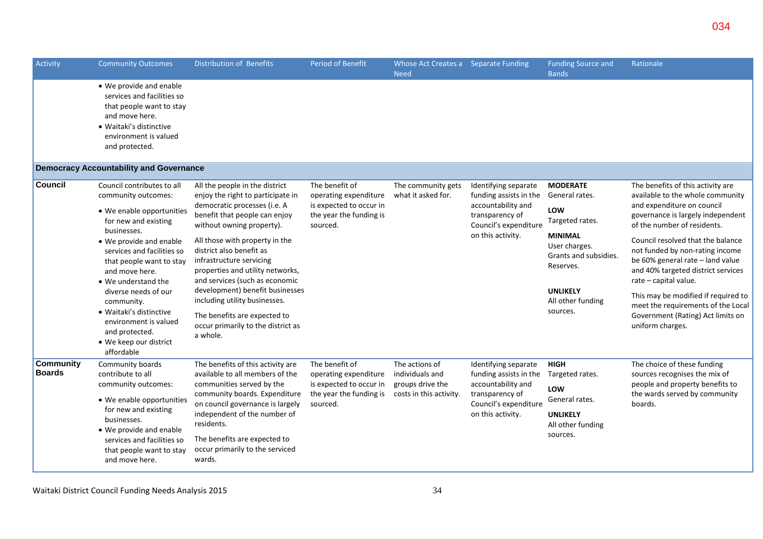| Activity                          | <b>Community Outcomes</b>                                                                                                                                                                                                                                                                                                                                                                               | Distribution of Benefits                                                                                                                                                                                                                                                                                                                                                                                                                                                                | <b>Period of Benefit</b>                                                                                  | Whose Act Creates a Separate Funding<br><b>Need</b>                              |                                                                                                                                       | <b>Funding Source and</b><br><b>Bands</b>                                                                                                                                                | Rationale                                                                                                                                                                                                                                                                                                                                                                                                                                                                                |
|-----------------------------------|---------------------------------------------------------------------------------------------------------------------------------------------------------------------------------------------------------------------------------------------------------------------------------------------------------------------------------------------------------------------------------------------------------|-----------------------------------------------------------------------------------------------------------------------------------------------------------------------------------------------------------------------------------------------------------------------------------------------------------------------------------------------------------------------------------------------------------------------------------------------------------------------------------------|-----------------------------------------------------------------------------------------------------------|----------------------------------------------------------------------------------|---------------------------------------------------------------------------------------------------------------------------------------|------------------------------------------------------------------------------------------------------------------------------------------------------------------------------------------|------------------------------------------------------------------------------------------------------------------------------------------------------------------------------------------------------------------------------------------------------------------------------------------------------------------------------------------------------------------------------------------------------------------------------------------------------------------------------------------|
|                                   | • We provide and enable<br>services and facilities so<br>that people want to stay<br>and move here.<br>· Waitaki's distinctive<br>environment is valued<br>and protected.                                                                                                                                                                                                                               |                                                                                                                                                                                                                                                                                                                                                                                                                                                                                         |                                                                                                           |                                                                                  |                                                                                                                                       |                                                                                                                                                                                          |                                                                                                                                                                                                                                                                                                                                                                                                                                                                                          |
|                                   | <b>Democracy Accountability and Governance</b>                                                                                                                                                                                                                                                                                                                                                          |                                                                                                                                                                                                                                                                                                                                                                                                                                                                                         |                                                                                                           |                                                                                  |                                                                                                                                       |                                                                                                                                                                                          |                                                                                                                                                                                                                                                                                                                                                                                                                                                                                          |
| Council                           | Council contributes to all<br>community outcomes:<br>• We enable opportunities<br>for new and existing<br>businesses.<br>• We provide and enable<br>services and facilities so<br>that people want to stay<br>and move here.<br>• We understand the<br>diverse needs of our<br>community.<br>· Waitaki's distinctive<br>environment is valued<br>and protected.<br>• We keep our district<br>affordable | All the people in the district<br>enjoy the right to participate in<br>democratic processes (i.e. A<br>benefit that people can enjoy<br>without owning property).<br>All those with property in the<br>district also benefit as<br>infrastructure servicing<br>properties and utility networks,<br>and services (such as economic<br>development) benefit businesses<br>including utility businesses.<br>The benefits are expected to<br>occur primarily to the district as<br>a whole. | The benefit of<br>operating expenditure<br>is expected to occur in<br>the year the funding is<br>sourced. | The community gets<br>what it asked for.                                         | Identifying separate<br>funding assists in the<br>accountability and<br>transparency of<br>Council's expenditure<br>on this activity. | <b>MODERATE</b><br>General rates.<br>LOW<br>Targeted rates.<br><b>MINIMAL</b><br>User charges.<br>Grants and subsidies.<br>Reserves.<br><b>UNLIKELY</b><br>All other funding<br>sources. | The benefits of this activity are<br>available to the whole community<br>and expenditure on council<br>governance is largely independent<br>of the number of residents.<br>Council resolved that the balance<br>not funded by non-rating income<br>be 60% general rate - land value<br>and 40% targeted district services<br>rate - capital value.<br>This may be modified if required to<br>meet the requirements of the Local<br>Government (Rating) Act limits on<br>uniform charges. |
| <b>Community</b><br><b>Boards</b> | Community boards<br>contribute to all<br>community outcomes:<br>• We enable opportunities<br>for new and existing<br>businesses.<br>• We provide and enable<br>services and facilities so<br>that people want to stay<br>and move here.                                                                                                                                                                 | The benefits of this activity are<br>available to all members of the<br>communities served by the<br>community boards. Expenditure<br>on council governance is largely<br>independent of the number of<br>residents.<br>The benefits are expected to<br>occur primarily to the serviced<br>wards.                                                                                                                                                                                       | The benefit of<br>operating expenditure<br>is expected to occur in<br>the year the funding is<br>sourced. | The actions of<br>individuals and<br>groups drive the<br>costs in this activity. | Identifying separate<br>funding assists in the<br>accountability and<br>transparency of<br>Council's expenditure<br>on this activity. | <b>HIGH</b><br>Targeted rates.<br>LOW<br>General rates.<br><b>UNLIKELY</b><br>All other funding<br>sources.                                                                              | The choice of these funding<br>sources recognises the mix of<br>people and property benefits to<br>the wards served by community<br>boards.                                                                                                                                                                                                                                                                                                                                              |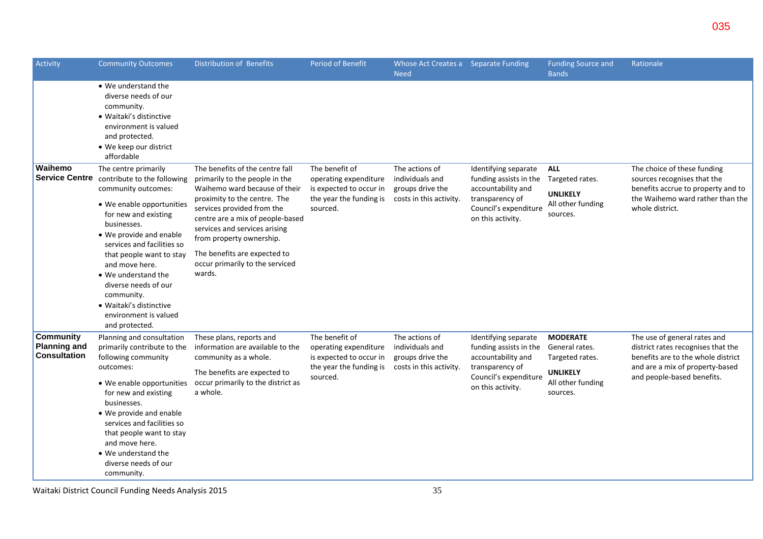| Activity                                                       | <b>Community Outcomes</b>                                                                                                                                                                                                                                                                                                                                                                | <b>Distribution of Benefits</b>                                                                                                                                                                                                                                                                                                                | <b>Period of Benefit</b>                                                                                  | Whose Act Creates a Separate Funding<br><b>Need</b>                              |                                                                                                                                       | <b>Funding Source and</b><br><b>Bands</b>                                                                | Rationale                                                                                                                                                                 |
|----------------------------------------------------------------|------------------------------------------------------------------------------------------------------------------------------------------------------------------------------------------------------------------------------------------------------------------------------------------------------------------------------------------------------------------------------------------|------------------------------------------------------------------------------------------------------------------------------------------------------------------------------------------------------------------------------------------------------------------------------------------------------------------------------------------------|-----------------------------------------------------------------------------------------------------------|----------------------------------------------------------------------------------|---------------------------------------------------------------------------------------------------------------------------------------|----------------------------------------------------------------------------------------------------------|---------------------------------------------------------------------------------------------------------------------------------------------------------------------------|
|                                                                | • We understand the<br>diverse needs of our<br>community.<br>• Waitaki's distinctive<br>environment is valued<br>and protected.<br>• We keep our district<br>affordable                                                                                                                                                                                                                  |                                                                                                                                                                                                                                                                                                                                                |                                                                                                           |                                                                                  |                                                                                                                                       |                                                                                                          |                                                                                                                                                                           |
| Waihemo<br><b>Service Centre</b>                               | The centre primarily<br>contribute to the following<br>community outcomes:<br>• We enable opportunities<br>for new and existing<br>businesses.<br>• We provide and enable<br>services and facilities so<br>that people want to stay<br>and move here.<br>• We understand the<br>diverse needs of our<br>community.<br>· Waitaki's distinctive<br>environment is valued<br>and protected. | The benefits of the centre fall<br>primarily to the people in the<br>Waihemo ward because of their<br>proximity to the centre. The<br>services provided from the<br>centre are a mix of people-based<br>services and services arising<br>from property ownership.<br>The benefits are expected to<br>occur primarily to the serviced<br>wards. | The benefit of<br>operating expenditure<br>is expected to occur in<br>the year the funding is<br>sourced. | The actions of<br>individuals and<br>groups drive the<br>costs in this activity. | Identifying separate<br>funding assists in the<br>accountability and<br>transparency of<br>Council's expenditure<br>on this activity. | <b>ALL</b><br>Targeted rates.<br><b>UNLIKELY</b><br>All other funding<br>sources.                        | The choice of these funding<br>sources recognises that the<br>benefits accrue to property and to<br>the Waihemo ward rather than the<br>whole district.                   |
| <b>Community</b><br><b>Planning and</b><br><b>Consultation</b> | Planning and consultation<br>primarily contribute to the<br>following community<br>outcomes:<br>• We enable opportunities<br>for new and existing<br>businesses.<br>• We provide and enable<br>services and facilities so<br>that people want to stay<br>and move here.<br>• We understand the<br>diverse needs of our<br>community.                                                     | These plans, reports and<br>information are available to the<br>community as a whole.<br>The benefits are expected to<br>occur primarily to the district as<br>a whole.                                                                                                                                                                        | The benefit of<br>operating expenditure<br>is expected to occur in<br>the year the funding is<br>sourced. | The actions of<br>individuals and<br>groups drive the<br>costs in this activity. | Identifying separate<br>funding assists in the<br>accountability and<br>transparency of<br>Council's expenditure<br>on this activity. | <b>MODERATE</b><br>General rates.<br>Targeted rates.<br><b>UNLIKELY</b><br>All other funding<br>sources. | The use of general rates and<br>district rates recognises that the<br>benefits are to the whole district<br>and are a mix of property-based<br>and people-based benefits. |